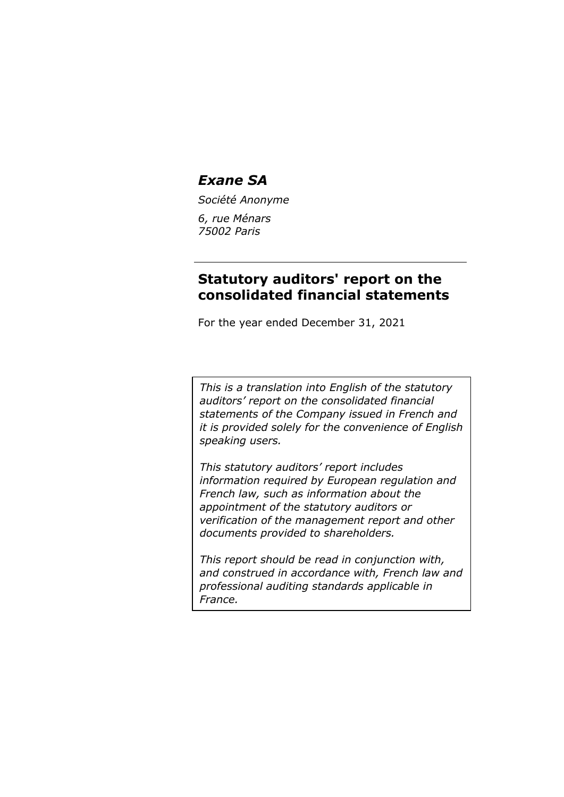*Société Anonyme*

*6, rue Ménars 75002 Paris*

# **Statutory auditors' report on the consolidated financial statements**

For the year ended December 31, 2021

*This is a translation into English of the statutory auditors' report on the consolidated financial statements of the Company issued in French and it is provided solely for the convenience of English speaking users.*

*This statutory auditors' report includes information required by European regulation and French law, such as information about the appointment of the statutory auditors or verification of the management report and other documents provided to shareholders.*

*This report should be read in conjunction with, and construed in accordance with, French law and professional auditing standards applicable in France.*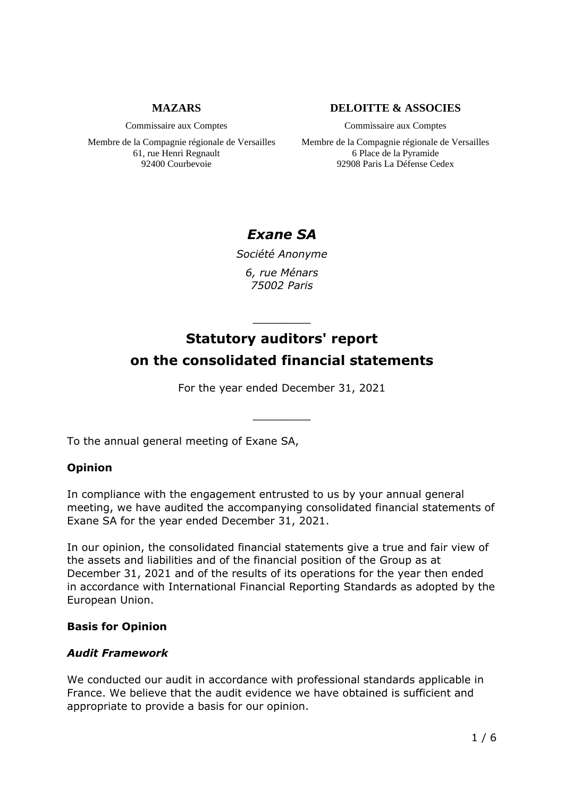### **MAZARS**

Commissaire aux Comptes

Membre de la Compagnie régionale de Versailles 61, rue Henri Regnault 92400 Courbevoie

### **DELOITTE & ASSOCIES**

Commissaire aux Comptes

Membre de la Compagnie régionale de Versailles 6 Place de la Pyramide 92908 Paris La Défense Cedex

# *Exane SA*

*Société Anonyme 6, rue Ménars*

*75002 Paris*

# \_\_\_\_\_\_\_\_ **Statutory auditors' report on the consolidated financial statements**

For the year ended December 31, 2021

\_\_\_\_\_\_\_\_

To the annual general meeting of Exane SA,

### **Opinion**

In compliance with the engagement entrusted to us by your annual general meeting, we have audited the accompanying consolidated financial statements of Exane SA for the year ended December 31, 2021.

In our opinion, the consolidated financial statements give a true and fair view of the assets and liabilities and of the financial position of the Group as at December 31, 2021 and of the results of its operations for the year then ended in accordance with International Financial Reporting Standards as adopted by the European Union.

### **Basis for Opinion**

### *Audit Framework*

We conducted our audit in accordance with professional standards applicable in France. We believe that the audit evidence we have obtained is sufficient and appropriate to provide a basis for our opinion.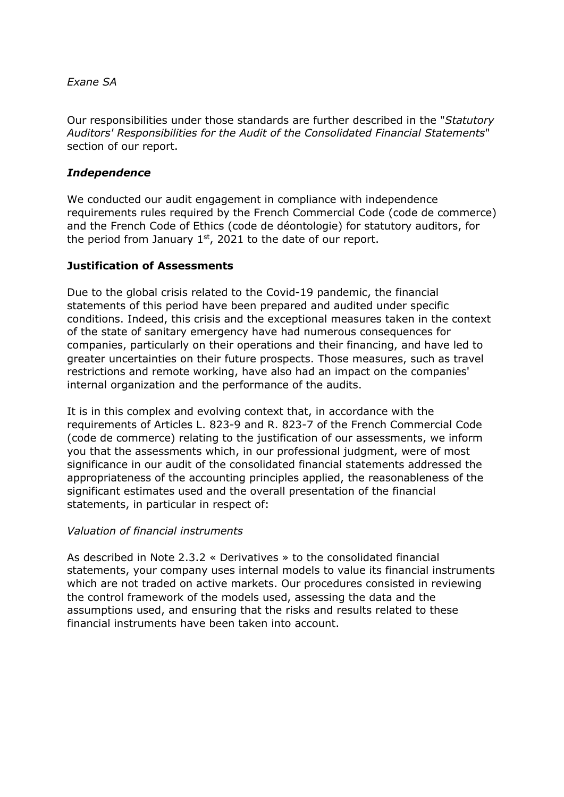Our responsibilities under those standards are further described in the "*Statutory Auditors' Responsibilities for the Audit of the Consolidated Financial Statements*" section of our report.

### *Independence*

We conducted our audit engagement in compliance with independence requirements rules required by the French Commercial Code (code de commerce) and the French Code of Ethics (code de déontologie) for statutory auditors, for the period from January  $1<sup>st</sup>$ , 2021 to the date of our report.

### **Justification of Assessments**

Due to the global crisis related to the Covid-19 pandemic, the financial statements of this period have been prepared and audited under specific conditions. Indeed, this crisis and the exceptional measures taken in the context of the state of sanitary emergency have had numerous consequences for companies, particularly on their operations and their financing, and have led to greater uncertainties on their future prospects. Those measures, such as travel restrictions and remote working, have also had an impact on the companies' internal organization and the performance of the audits.

It is in this complex and evolving context that, in accordance with the requirements of Articles L. 823-9 and R. 823-7 of the French Commercial Code (code de commerce) relating to the justification of our assessments, we inform you that the assessments which, in our professional judgment, were of most significance in our audit of the consolidated financial statements addressed the appropriateness of the accounting principles applied, the reasonableness of the significant estimates used and the overall presentation of the financial statements, in particular in respect of:

### *Valuation of financial instruments*

As described in Note 2.3.2 « Derivatives » to the consolidated financial statements, your company uses internal models to value its financial instruments which are not traded on active markets. Our procedures consisted in reviewing the control framework of the models used, assessing the data and the assumptions used, and ensuring that the risks and results related to these financial instruments have been taken into account.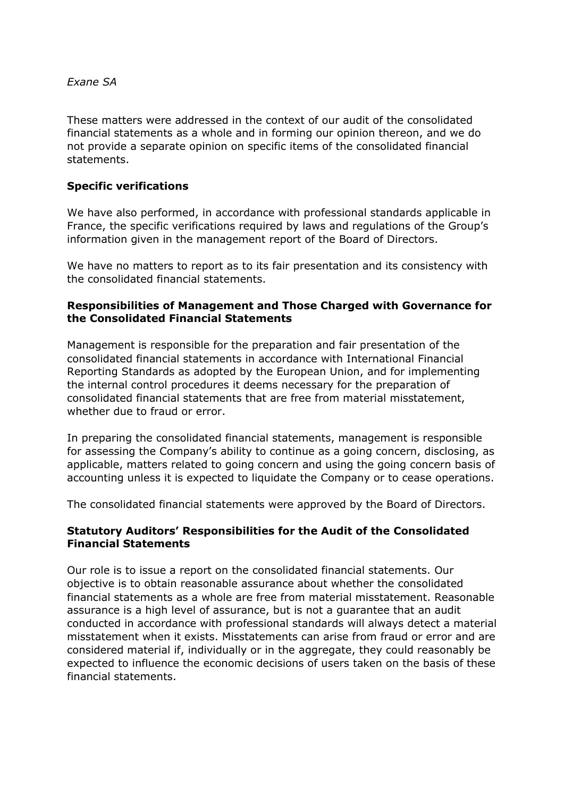These matters were addressed in the context of our audit of the consolidated financial statements as a whole and in forming our opinion thereon, and we do not provide a separate opinion on specific items of the consolidated financial statements.

### **Specific verifications**

We have also performed, in accordance with professional standards applicable in France, the specific verifications required by laws and regulations of the Group's information given in the management report of the Board of Directors.

We have no matters to report as to its fair presentation and its consistency with the consolidated financial statements.

### **Responsibilities of Management and Those Charged with Governance for the Consolidated Financial Statements**

Management is responsible for the preparation and fair presentation of the consolidated financial statements in accordance with International Financial Reporting Standards as adopted by the European Union, and for implementing the internal control procedures it deems necessary for the preparation of consolidated financial statements that are free from material misstatement, whether due to fraud or error.

In preparing the consolidated financial statements, management is responsible for assessing the Company's ability to continue as a going concern, disclosing, as applicable, matters related to going concern and using the going concern basis of accounting unless it is expected to liquidate the Company or to cease operations.

The consolidated financial statements were approved by the Board of Directors.

### **Statutory Auditors' Responsibilities for the Audit of the Consolidated Financial Statements**

Our role is to issue a report on the consolidated financial statements. Our objective is to obtain reasonable assurance about whether the consolidated financial statements as a whole are free from material misstatement. Reasonable assurance is a high level of assurance, but is not a guarantee that an audit conducted in accordance with professional standards will always detect a material misstatement when it exists. Misstatements can arise from fraud or error and are considered material if, individually or in the aggregate, they could reasonably be expected to influence the economic decisions of users taken on the basis of these financial statements.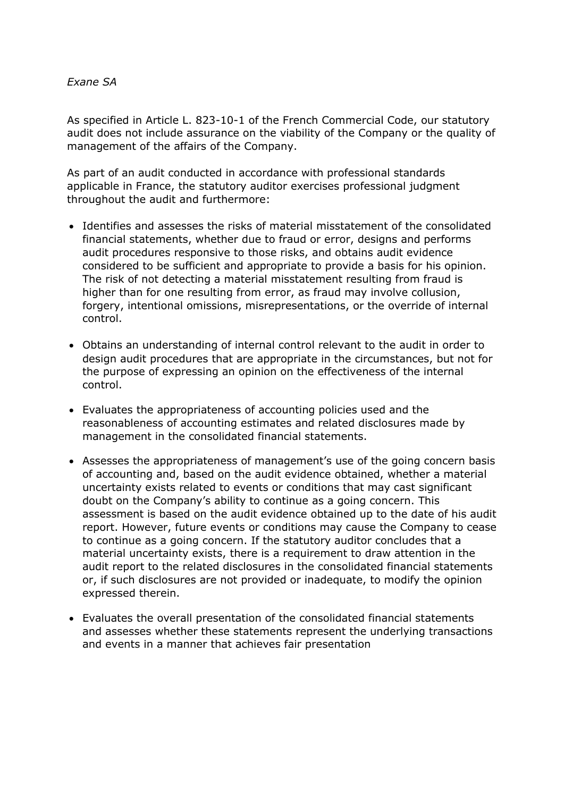As specified in Article L. 823-10-1 of the French Commercial Code, our statutory audit does not include assurance on the viability of the Company or the quality of management of the affairs of the Company.

As part of an audit conducted in accordance with professional standards applicable in France, the statutory auditor exercises professional judgment throughout the audit and furthermore:

- Identifies and assesses the risks of material misstatement of the consolidated financial statements, whether due to fraud or error, designs and performs audit procedures responsive to those risks, and obtains audit evidence considered to be sufficient and appropriate to provide a basis for his opinion. The risk of not detecting a material misstatement resulting from fraud is higher than for one resulting from error, as fraud may involve collusion, forgery, intentional omissions, misrepresentations, or the override of internal control.
- Obtains an understanding of internal control relevant to the audit in order to design audit procedures that are appropriate in the circumstances, but not for the purpose of expressing an opinion on the effectiveness of the internal control.
- Evaluates the appropriateness of accounting policies used and the reasonableness of accounting estimates and related disclosures made by management in the consolidated financial statements.
- Assesses the appropriateness of management's use of the going concern basis of accounting and, based on the audit evidence obtained, whether a material uncertainty exists related to events or conditions that may cast significant doubt on the Company's ability to continue as a going concern. This assessment is based on the audit evidence obtained up to the date of his audit report. However, future events or conditions may cause the Company to cease to continue as a going concern. If the statutory auditor concludes that a material uncertainty exists, there is a requirement to draw attention in the audit report to the related disclosures in the consolidated financial statements or, if such disclosures are not provided or inadequate, to modify the opinion expressed therein.
- Evaluates the overall presentation of the consolidated financial statements and assesses whether these statements represent the underlying transactions and events in a manner that achieves fair presentation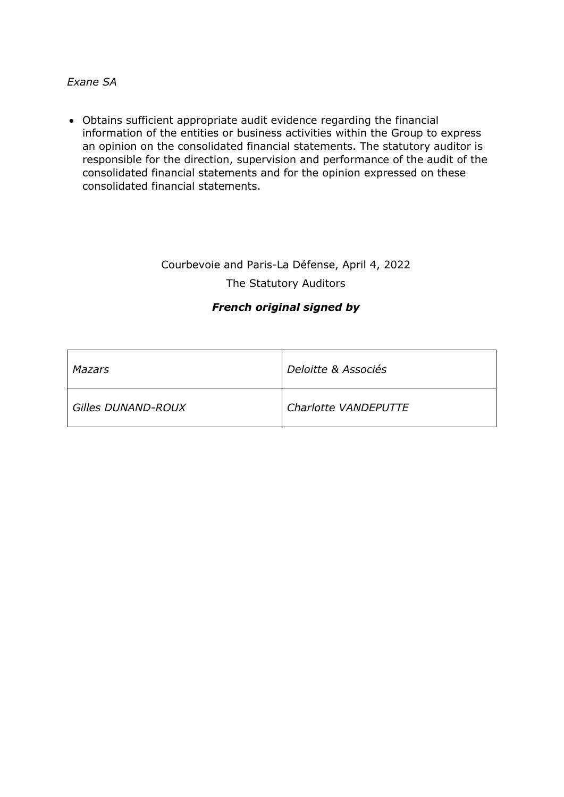• Obtains sufficient appropriate audit evidence regarding the financial information of the entities or business activities within the Group to express an opinion on the consolidated financial statements. The statutory auditor is responsible for the direction, supervision and performance of the audit of the consolidated financial statements and for the opinion expressed on these consolidated financial statements.

# Courbevoie and Paris-La Défense, April 4, 2022 The Statutory Auditors

### *French original signed by*

| Mazars                    | Deloitte & Associés  |
|---------------------------|----------------------|
| <b>Gilles DUNAND-ROUX</b> | Charlotte VANDEPUTTE |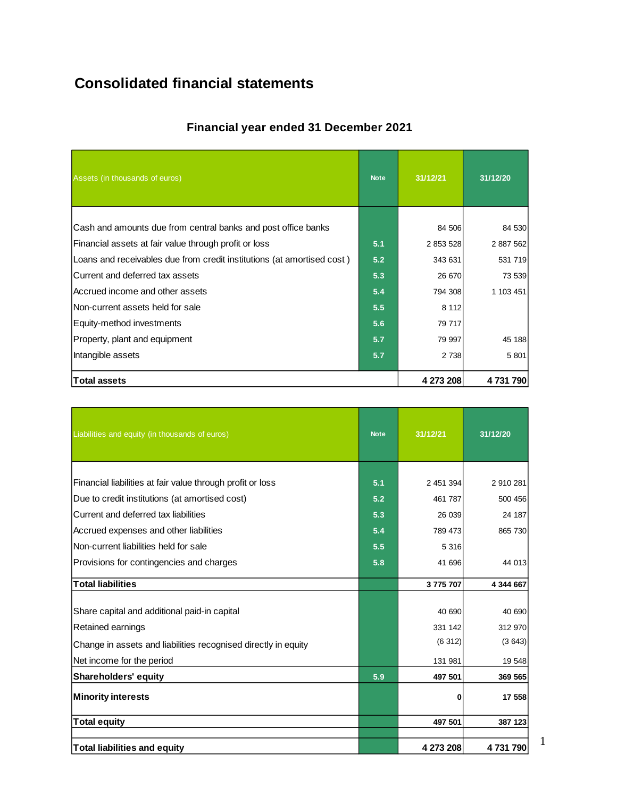# **Consolidated financial statements**

| <b>Financial year ended 31 December 2021</b> |  |  |  |
|----------------------------------------------|--|--|--|
|----------------------------------------------|--|--|--|

| Assets (in thousands of euros)                                         | <b>Note</b> | 31/12/21  | 31/12/20  |
|------------------------------------------------------------------------|-------------|-----------|-----------|
|                                                                        |             |           |           |
| Cash and amounts due from central banks and post office banks          |             | 84 506    | 84 530    |
| Financial assets at fair value through profit or loss                  | 5.1         | 2 853 528 | 2 887 562 |
| Loans and receivables due from credit institutions (at amortised cost) |             | 343 631   | 531 719   |
| Current and deferred tax assets                                        |             | 26 670    | 73 539    |
| Accrued income and other assets                                        | 5.4         | 794 308   | 1 103 451 |
| Non-current assets held for sale                                       | 5.5         | 8 1 1 2   |           |
| Equity-method investments                                              | 5.6         | 79 717    |           |
| Property, plant and equipment                                          | 5.7         | 79 997    | 45 188    |
| Intangible assets                                                      |             | 2 7 3 8   | 5 8 0 1   |
| <b>Total assets</b>                                                    |             | 4 273 208 | 4731790   |

| Liabilities and equity (in thousands of euros)                 | <b>Note</b> | 31/12/21  | 31/12/20  |
|----------------------------------------------------------------|-------------|-----------|-----------|
|                                                                |             |           |           |
| Financial liabilities at fair value through profit or loss     | 5.1         | 2 451 394 | 2 910 281 |
| Due to credit institutions (at amortised cost)                 | 5.2         | 461 787   | 500 456   |
| Current and deferred tax liabilities                           | 5.3         | 26 039    | 24 187    |
| Accrued expenses and other liabilities                         | 5.4         | 789 473   | 865 730   |
| Non-current liabilities held for sale                          | 5.5         | 5 3 1 6   |           |
| Provisions for contingencies and charges                       | 5.8         | 41 696    | 44 013    |
| <b>Total liabilities</b>                                       |             | 3775707   | 4 344 667 |
|                                                                |             |           |           |
| Share capital and additional paid-in capital                   |             | 40 690    | 40 690    |
| Retained earnings                                              |             | 331 142   | 312 970   |
| Change in assets and liabilities recognised directly in equity |             | (6312)    | (3643)    |
| Net income for the period                                      |             | 131 981   | 19 548    |
| <b>Shareholders' equity</b>                                    | 5.9         | 497 501   | 369 565   |
| <b>Minority interests</b>                                      |             | 0         | 17 558    |
| <b>Total equity</b>                                            |             | 497 501   | 387 123   |
| <b>Total liabilities and equity</b>                            |             | 4 273 208 | 4731790   |

1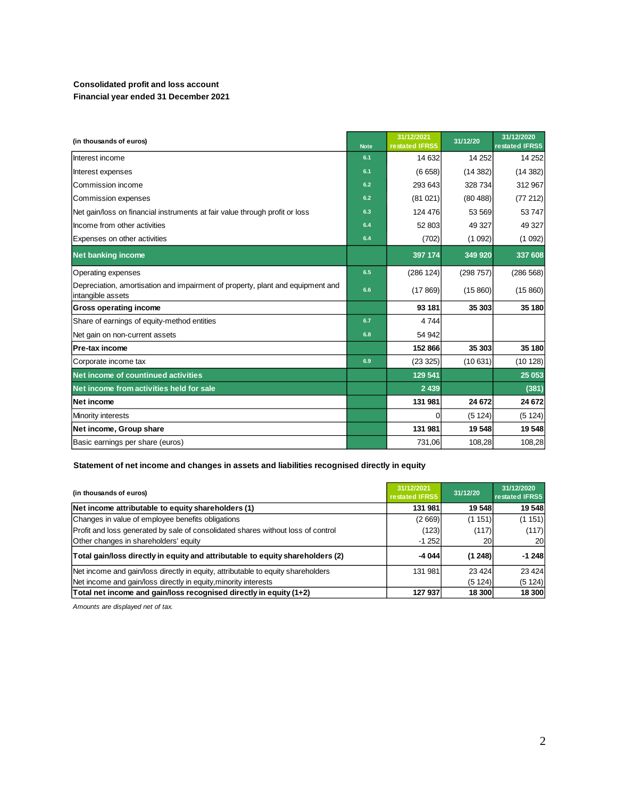#### **Consolidated profit and loss account Financial year ended 31 December 2021**

| (in thousands of euros)                                                                             | <b>Note</b> | 31/12/2021<br>restated IFRS5 | 31/12/20 | 31/12/2020<br>restated IFRS5 |
|-----------------------------------------------------------------------------------------------------|-------------|------------------------------|----------|------------------------------|
| Interest income                                                                                     | 6.1         | 14 632                       | 14 25 2  | 14 25 2                      |
| Interest expenses                                                                                   | 6.1         | (6658)                       | (14382)  | (14382)                      |
| Commission income                                                                                   | 6.2         | 293 643                      | 328 734  | 312 967                      |
| Commission expenses                                                                                 | 6.2         | (81021)                      | (80488)  | (77212)                      |
| Net gain/loss on financial instruments at fair value through profit or loss                         | 6.3         | 124 476                      | 53 569   | 53747                        |
| Income from other activities                                                                        | 6.4         | 52 803                       | 49 327   | 49 327                       |
| Expenses on other activities                                                                        | 6.4         | (702)                        | (1092)   | (1092)                       |
| <b>Net banking income</b>                                                                           |             | 397 174                      | 349 920  | 337 608                      |
| Operating expenses                                                                                  | 6.5         | (286 124)                    | (298757) | (286 568)                    |
| Depreciation, amortisation and impairment of property, plant and equipment and<br>intangible assets | 6.6         | (17869)                      | (15860)  | (15860)                      |
| <b>Gross operating income</b>                                                                       |             | 93 181                       | 35 303   | 35 180                       |
| Share of earnings of equity-method entities                                                         | 6.7         | 4744                         |          |                              |
| Net gain on non-current assets                                                                      | 6.8         | 54 942                       |          |                              |
| Pre-tax income                                                                                      |             | 152 866                      | 35 303   | 35 180                       |
| Corporate income tax                                                                                | 6.9         | (23 325)                     | (10631)  | (10128)                      |
| Net income of countinued activities                                                                 |             | 129 541                      |          | 25 053                       |
| Net income from activities held for sale                                                            |             | 2 4 3 9                      |          | (381)                        |
| <b>Net income</b>                                                                                   |             | 131 981                      | 24 672   | 24 672                       |
| Minority interests                                                                                  |             |                              | (5124)   | (5124)                       |
| Net income, Group share                                                                             |             | 131 981                      | 19 548   | 19548                        |
| Basic earnings per share (euros)                                                                    |             | 731,06                       | 108,28   | 108,28                       |

#### **Statement of net income and changes in assets and liabilities recognised directly in equity**

| (in thousands of euros)<br>restated IFRS5                                        |         | 31/12/20          | 31/12/2020<br>restated IFRS5 |
|----------------------------------------------------------------------------------|---------|-------------------|------------------------------|
| Net income attributable to equity shareholders (1)                               | 131 981 | 19 548            | 19 548                       |
| Changes in value of employee benefits obligations                                | (2669)  | (1151)            | (1151)                       |
| Profit and loss generated by sale of consolidated shares without loss of control | (123)   | (117)             | (117)                        |
| Other changes in shareholders' equity                                            | $-1252$ | 20                | 20                           |
| Total gain/loss directly in equity and attributable to equity shareholders (2)   |         | $-4044$<br>(1248) | $-1248$                      |
| Net income and gain/loss directly in equity, attributable to equity shareholders | 131 981 | 23 4 24           | 23 4 24                      |
| Net income and gain/loss directly in equity, minority interests                  |         | (5 1 24)          | (5124)                       |
| Total net income and gain/loss recognised directly in equity (1+2)               | 127 937 | 18 300            | 18 300                       |

*Amounts are displayed net of tax.*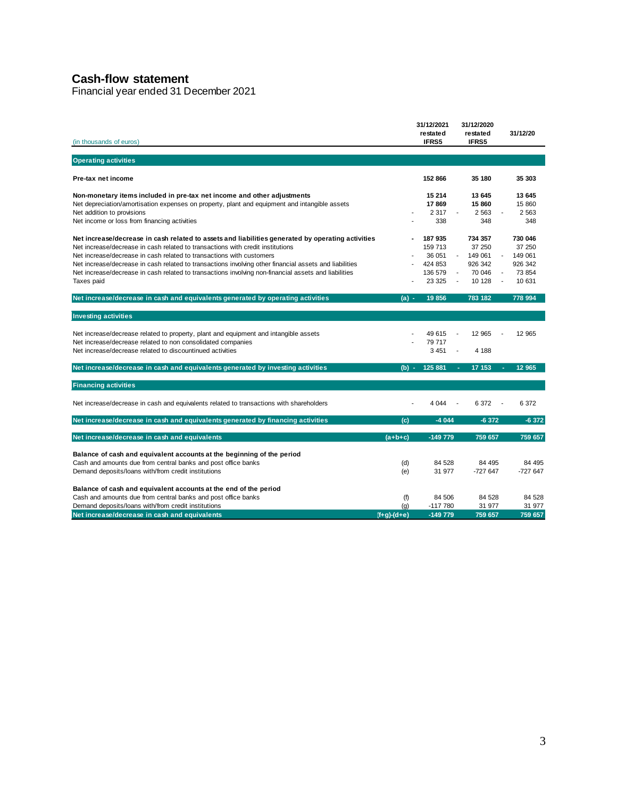### **Cash-flow statement**

Financial year ended 31 December 2021

| (in thousands of euros)                                                                                |               | 31/12/2021<br>restated<br>IFRS5 | 31/12/2020<br>restated<br>IFRS5 | 31/12/20         |
|--------------------------------------------------------------------------------------------------------|---------------|---------------------------------|---------------------------------|------------------|
| <b>Operating activities</b>                                                                            |               |                                 |                                 |                  |
| Pre-tax net income                                                                                     |               | 152 866                         | 35 180                          | 35 303           |
| Non-monetary items included in pre-tax net income and other adjustments                                |               | 15 214                          | 13 645                          | 13 645           |
| Net depreciation/amortisation expenses on property, plant and equipment and intangible assets          |               | 17869                           | 15 860                          | 15 860           |
| Net addition to provisions                                                                             |               | 2 3 1 7                         | 2 5 6 3                         | 2 5 6 3          |
| Net income or loss from financing activities                                                           |               | 338                             | 348                             | 348              |
| Net increase/decrease in cash related to assets and liabilities generated by operating activities      |               | 187 935                         | 734 357                         | 730 046          |
| Net increase/decrease in cash related to transactions with credit institutions                         |               | 159 713                         | 37 250                          | 37 250           |
| Net increase/decrease in cash related to transactions with customers                                   |               | 36 051                          | 149 061                         | 149 061          |
| Net increase/decrease in cash related to transactions involving other financial assets and liabilities |               | 424 853                         | 926 342                         | 926 342          |
| Net increase/decrease in cash related to transactions involving non-financial assets and liabilities   |               | 136 579                         | 70 046                          | 73 854           |
| Taxes paid                                                                                             |               | 23 3 25                         | 10 128<br>$\sim$                | 10 631<br>$\sim$ |
| Net increase/decrease in cash and equivalents generated by operating activities                        | $(a) -$       | 19856                           | 783 182                         | 778 994          |
| <b>Investing activities</b>                                                                            |               |                                 |                                 |                  |
| Net increase/decrease related to property, plant and equipment and intangible assets                   |               | 49 615                          | 12 965                          | 12 965           |
| Net increase/decrease related to non consolidated companies                                            |               | 79 717                          |                                 |                  |
| Net increase/decrease related to discountinued activities                                              |               | 3 4 5 1                         | 4 188<br>$\blacksquare$         |                  |
|                                                                                                        |               |                                 |                                 |                  |
| Net increase/decrease in cash and equivalents generated by investing activities                        | $(b) -$       | 125 881                         | 17 153                          | 12 965           |
| <b>Financing activities</b>                                                                            |               |                                 |                                 |                  |
| Net increase/decrease in cash and equivalents related to transactions with shareholders                |               | 4 0 4 4                         | 6 3 7 2                         | 6 3 7 2          |
| Net increase/decrease in cash and equivalents generated by financing activities                        | (c)           | $-4044$                         | $-6372$                         | $-6372$          |
| Net increase/decrease in cash and equivalents                                                          | $(a + b + c)$ | $-149779$                       | 759 657                         | 759 657          |
| Balance of cash and equivalent accounts at the beginning of the period                                 |               |                                 |                                 |                  |
| Cash and amounts due from central banks and post office banks                                          | (d)           | 84 528                          | 84 495                          | 84 495           |
| Demand deposits/loans with/from credit institutions                                                    | (e)           | 31 977                          | $-727647$                       | $-727647$        |
| Balance of cash and equivalent accounts at the end of the period                                       |               |                                 |                                 |                  |
| Cash and amounts due from central banks and post office banks                                          | (f)           | 84 506                          | 84 528                          | 84 528           |
| Demand deposits/loans with/from credit institutions                                                    | (q)           | $-117780$                       | 31 977                          | 31 977           |
| Net increase/decrease in cash and equivalents                                                          | $(f+q)-(d+e)$ | $-149779$                       | 759 657                         | 759 657          |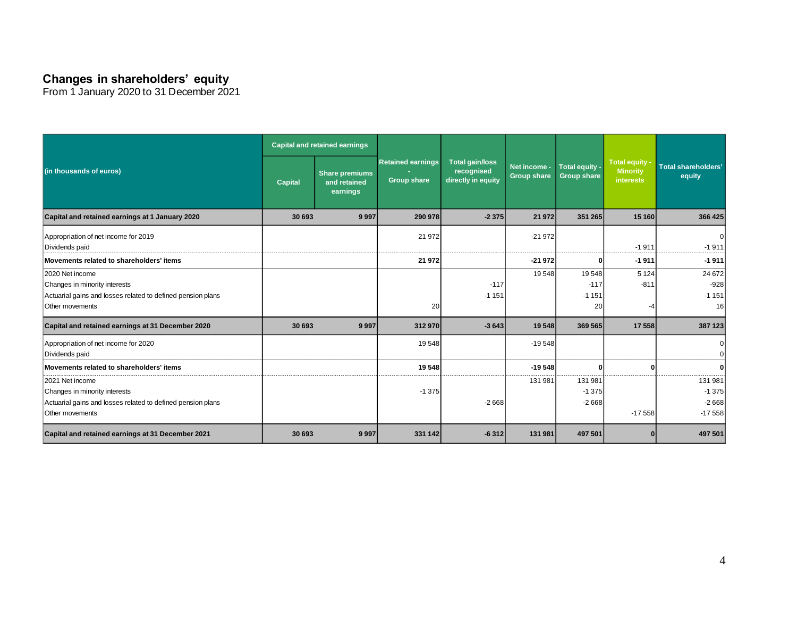### **Changes in shareholders' equity**

From 1 January 2020 to 31 December 2021

|                                                                                                                                    |                | <b>Capital and retained earnings</b>              |                                                |                                                            |                                    |                                      |                                                       |                                           |
|------------------------------------------------------------------------------------------------------------------------------------|----------------|---------------------------------------------------|------------------------------------------------|------------------------------------------------------------|------------------------------------|--------------------------------------|-------------------------------------------------------|-------------------------------------------|
| (in thousands of euros)                                                                                                            | <b>Capital</b> | <b>Share premiums</b><br>and retained<br>earnings | <b>Retained earnings</b><br><b>Group share</b> | <b>Total gain/loss</b><br>recognised<br>directly in equity | Net income -<br><b>Group share</b> | Total equity -<br><b>Group share</b> | Total equity -<br><b>Minority</b><br><b>interests</b> | <b>Total shareholders'</b><br>equity      |
| Capital and retained earnings at 1 January 2020                                                                                    | 30 693         | 9997                                              | 290 978                                        | $-2375$                                                    | 21 972                             | 351 265                              | 15 160                                                | 366 425                                   |
| Appropriation of net income for 2019<br>Dividends paid                                                                             |                |                                                   | 21 972                                         |                                                            | $-21972$                           |                                      | $-1911$                                               | $-1911$                                   |
| Movements related to shareholders' items                                                                                           |                |                                                   | 21 972                                         |                                                            | $-21972$                           |                                      | $-1911$                                               | $-1911$                                   |
| 2020 Net income<br>Changes in minority interests<br>Actuarial gains and losses related to defined pension plans<br>Other movements |                |                                                   | 20                                             | $-117$<br>$-1151$                                          | 19548                              | 19548<br>$-117$<br>$-1151$<br>20     | 5 1 2 4<br>$-811$                                     | 24 672<br>$-928$<br>$-1151$<br><b>16</b>  |
| Capital and retained earnings at 31 December 2020                                                                                  | 30 693         | 9997                                              | 312 970                                        | $-3643$                                                    | 19548                              | 369 565                              | 17 558                                                | 387 123                                   |
| Appropriation of net income for 2020<br>Dividends paid                                                                             |                |                                                   | 19548                                          |                                                            | $-19548$                           |                                      |                                                       |                                           |
| Movements related to shareholders' items                                                                                           |                |                                                   | 19548                                          |                                                            | $-19548$                           |                                      |                                                       |                                           |
| 2021 Net income<br>Changes in minority interests<br>Actuarial gains and losses related to defined pension plans<br>Other movements |                |                                                   | $-1375$                                        | $-2668$                                                    | 131 981                            | 131 981<br>$-1375$<br>$-2668$        | $-17558$                                              | 131 981<br>$-1375$<br>$-2668$<br>$-17558$ |
| Capital and retained earnings at 31 December 2021                                                                                  | 30 693         | 9997                                              | 331 142                                        | $-6312$                                                    | 131 981                            | 497 501                              |                                                       | 497 501                                   |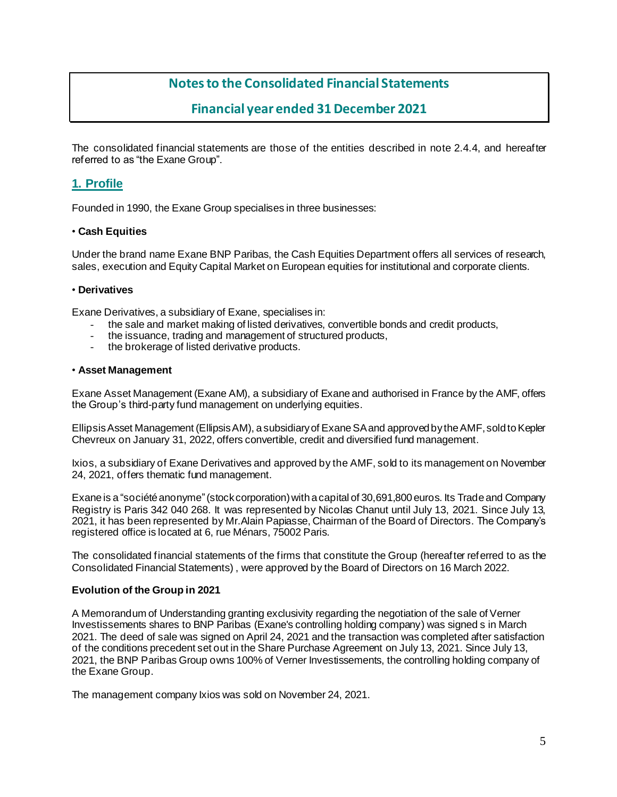## **Notes to the Consolidated Financial Statements**

### **Financial year ended 31 December 2021**

The consolidated financial statements are those of the entities described in note 2.4.4, and hereafter referred to as "the Exane Group".

### **1. Profile**

Founded in 1990, the Exane Group specialises in three businesses:

#### • **Cash Equities**

Under the brand name Exane BNP Paribas, the Cash Equities Department offers all services of research, sales, execution and Equity Capital Market on European equities for institutional and corporate clients.

#### • **Derivatives**

Exane Derivatives, a subsidiary of Exane, specialises in:

- the sale and market making of listed derivatives, convertible bonds and credit products,
- the issuance, trading and management of structured products,
- the brokerage of listed derivative products.

#### • **Asset Management**

Exane Asset Management (Exane AM), a subsidiary of Exane and authorised in France by the AMF, offers the Group's third-party fund management on underlying equities.

Ellipsis Asset Management (Ellipsis AM), a subsidiary of Exane SA and approved by the AMF, sold to Kepler Chevreux on January 31, 2022, offers convertible, credit and diversified fund management.

Ixios, a subsidiary of Exane Derivatives and approved by the AMF, sold to its management on November 24, 2021, offers thematic fund management.

Exane is a "société anonyme"(stock corporation) with a capital of 30,691,800 euros. Its Trade and Company Registry is Paris 342 040 268. It was represented by Nicolas Chanut until July 13, 2021. Since July 13, 2021, it has been represented by Mr.Alain Papiasse, Chairman of the Board of Directors. The Company's registered office is located at 6, rue Ménars, 75002 Paris.

The consolidated financial statements of the firms that constitute the Group (hereafter referred to as the Consolidated Financial Statements) , were approved by the Board of Directors on 16 March 2022.

#### **Evolution of the Group in 2021**

A Memorandum of Understanding granting exclusivity regarding the negotiation of the sale of Verner Investissements shares to BNP Paribas (Exane's controlling holding company) was signed s in March 2021. The deed of sale was signed on April 24, 2021 and the transaction was completed after satisfaction of the conditions precedent set out in the Share Purchase Agreement on July 13, 2021. Since July 13, 2021, the BNP Paribas Group owns 100% of Verner Investissements, the controlling holding company of the Exane Group.

The management company Ixios was sold on November 24, 2021.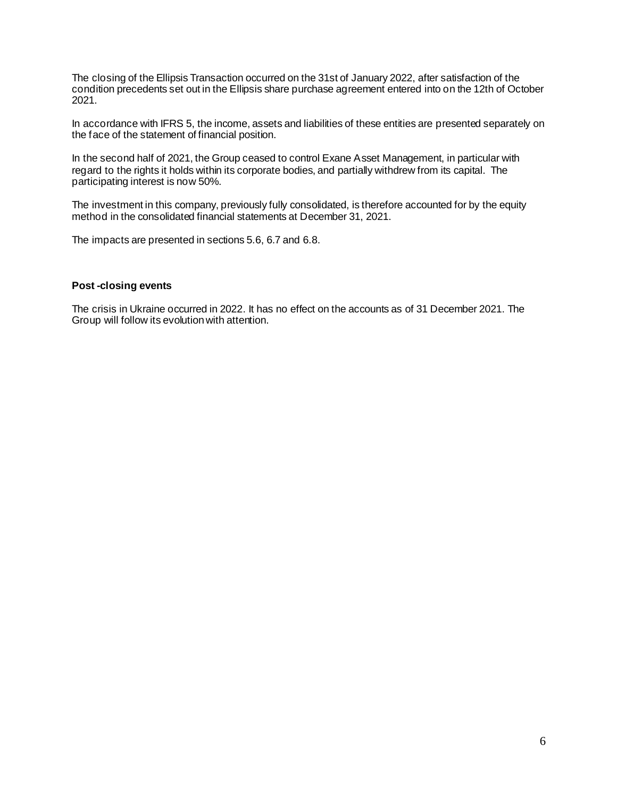The closing of the Ellipsis Transaction occurred on the 31st of January 2022, after satisfaction of the condition precedents set out in the Ellipsis share purchase agreement entered into on the 12th of October 2021.

In accordance with IFRS 5, the income, assets and liabilities of these entities are presented separately on the face of the statement of financial position.

In the second half of 2021, the Group ceased to control Exane Asset Management, in particular with regard to the rights it holds within its corporate bodies, and partially withdrew from its capital. The participating interest is now 50%.

The investment in this company, previously fully consolidated, is therefore accounted for by the equity method in the consolidated financial statements at December 31, 2021.

The impacts are presented in sections 5.6, 6.7 and 6.8.

#### **Post -closing events**

The crisis in Ukraine occurred in 2022. It has no effect on the accounts as of 31 December 2021. The Group will follow its evolution with attention.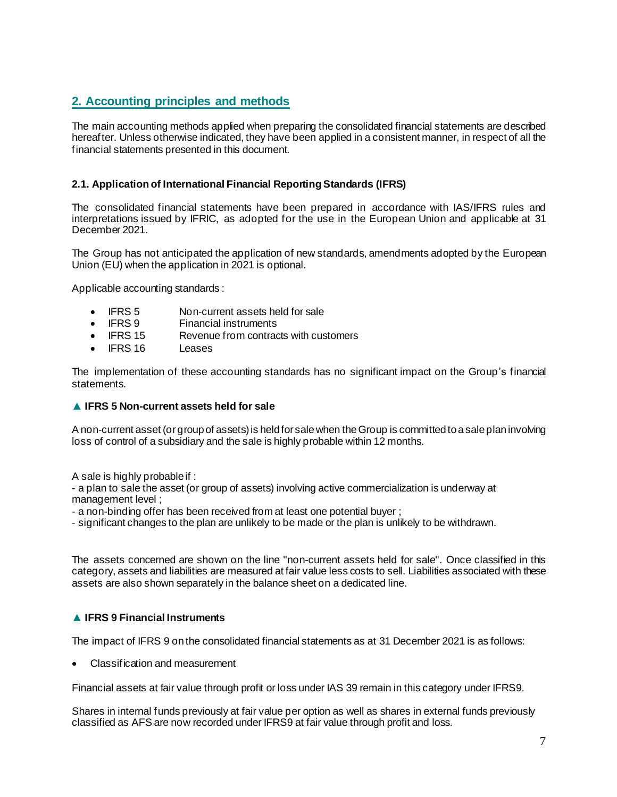### **2. Accounting principles and methods**

The main accounting methods applied when preparing the consolidated financial statements are described hereafter. Unless otherwise indicated, they have been applied in a consistent manner, in respect of all the financial statements presented in this document.

#### **2.1. Application of International Financial Reporting Standards (IFRS)**

The consolidated financial statements have been prepared in accordance with IAS/IFRS rules and interpretations issued by IFRIC, as adopted for the use in the European Union and applicable at 31 December 2021.

The Group has not anticipated the application of new standards, amendments adopted by the European Union (EU) when the application in 2021 is optional.

Applicable accounting standards :

- IFRS 5 Non-current assets held for sale
- IFRS 9 Financial instruments
- IFRS 15 Revenue from contracts with customers
- IFRS 16 Leases

The implementation of these accounting standards has no significant impact on the Group's financial statements.

#### **▲ IFRS 5 Non-current assets held for sale**

A non-current asset (or group of assets) is held for sale when the Group is committed to a sale plan involving loss of control of a subsidiary and the sale is highly probable within 12 months.

A sale is highly probable if :

- a plan to sale the asset (or group of assets) involving active commercialization is underway at management level ;

- a non-binding offer has been received from at least one potential buyer ;

- significant changes to the plan are unlikely to be made or the plan is unlikely to be withdrawn.

The assets concerned are shown on the line "non-current assets held for sale". Once classified in this category, assets and liabilities are measured at fair value less costs to sell. Liabilities associated with these assets are also shown separately in the balance sheet on a dedicated line.

### **▲ IFRS 9 Financial Instruments**

The impact of IFRS 9 on the consolidated financial statements as at 31 December 2021 is as follows:

• Classification and measurement

Financial assets at fair value through profit or loss under IAS 39 remain in this category under IFRS9.

Shares in internal funds previously at fair value per option as well as shares in external funds previously classified as AFS are now recorded under IFRS9 at fair value through profit and loss.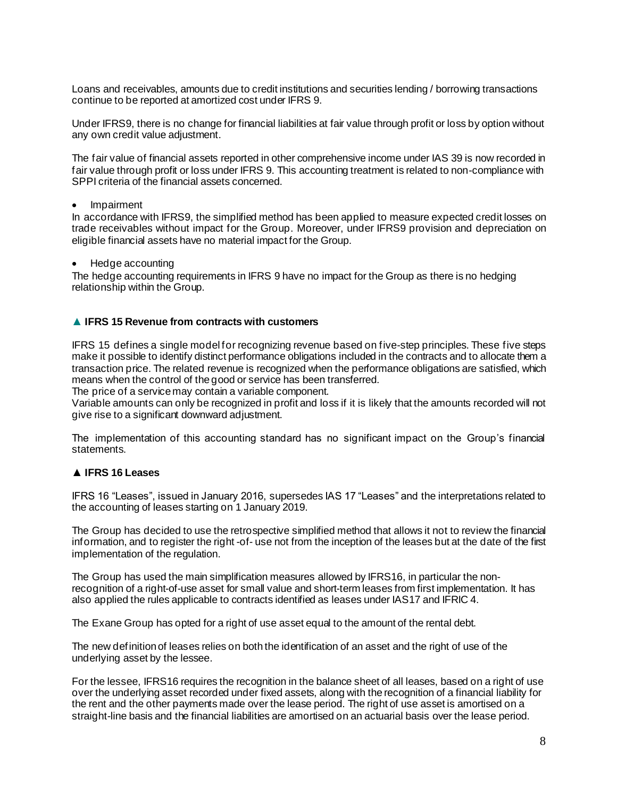Loans and receivables, amounts due to credit institutions and securities lending / borrowing transactions continue to be reported at amortized cost under IFRS 9.

Under IFRS9, there is no change for financial liabilities at fair value through profit or loss by option without any own credit value adjustment.

The fair value of financial assets reported in other comprehensive income under IAS 39 is now recorded in fair value through profit or loss under IFRS 9. This accounting treatment is related to non-compliance with SPPI criteria of the financial assets concerned.

• Impairment

In accordance with IFRS9, the simplified method has been applied to measure expected credit losses on trade receivables without impact for the Group. Moreover, under IFRS9 provision and depreciation on eligible financial assets have no material impact for the Group.

• Hedge accounting

The hedge accounting requirements in IFRS 9 have no impact for the Group as there is no hedging relationship within the Group.

#### **▲ IFRS 15 Revenue from contracts with customers**

IFRS 15 defines a single model for recognizing revenue based on five-step principles. These five steps make it possible to identify distinct performance obligations included in the contracts and to allocate them a transaction price. The related revenue is recognized when the performance obligations are satisfied, which means when the control of the good or service has been transferred.

The price of a service may contain a variable component.

Variable amounts can only be recognized in profit and loss if it is likely that the amounts recorded will not give rise to a significant downward adjustment.

The implementation of this accounting standard has no significant impact on the Group's financial statements.

#### **▲ IFRS 16 Leases**

IFRS 16 "Leases", issued in January 2016, supersedes IAS 17 "Leases" and the interpretations related to the accounting of leases starting on 1 January 2019.

The Group has decided to use the retrospective simplified method that allows it not to review the financial information, and to register the right -of- use not from the inception of the leases but at the date of the first implementation of the regulation.

The Group has used the main simplification measures allowed by IFRS16, in particular the nonrecognition of a right-of-use asset for small value and short-term leases from first implementation. It has also applied the rules applicable to contracts identified as leases under IAS17 and IFRIC 4.

The Exane Group has opted for a right of use asset equal to the amount of the rental debt.

The new definition of leases relies on both the identification of an asset and the right of use of the underlying asset by the lessee.

For the lessee, IFRS16 requires the recognition in the balance sheet of all leases, based on a right of use over the underlying asset recorded under fixed assets, along with the recognition of a financial liability for the rent and the other payments made over the lease period. The right of use asset is amortised on a straight-line basis and the financial liabilities are amortised on an actuarial basis over the lease period.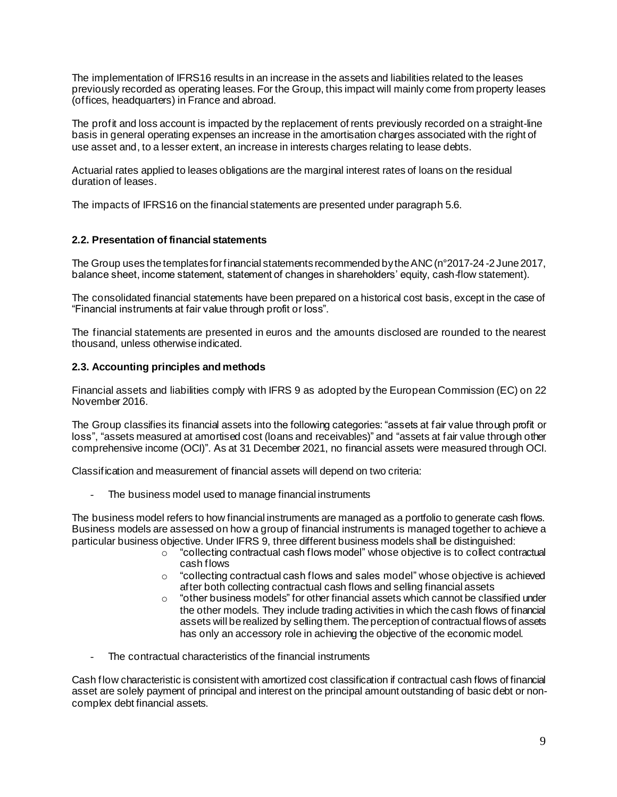The implementation of IFRS16 results in an increase in the assets and liabilities related to the leases previously recorded as operating leases. For the Group, this impact will mainly come from property leases (offices, headquarters) in France and abroad.

The profit and loss account is impacted by the replacement of rents previously recorded on a straight-line basis in general operating expenses an increase in the amortisation charges associated with the right of use asset and, to a lesser extent, an increase in interests charges relating to lease debts.

Actuarial rates applied to leases obligations are the marginal interest rates of loans on the residual duration of leases.

The impacts of IFRS16 on the financial statements are presented under paragraph 5.6.

#### **2.2. Presentation of financial statements**

The Group uses the templates for financial statements recommended by the ANC (n°2017-24-2 June 2017, balance sheet, income statement, statement of changes in shareholders' equity, cash-flow statement).

The consolidated financial statements have been prepared on a historical cost basis, except in the case of "Financial instruments at fair value through profit or loss".

The financial statements are presented in euros and the amounts disclosed are rounded to the nearest thousand, unless otherwise indicated.

#### **2.3. Accounting principles and methods**

Financial assets and liabilities comply with IFRS 9 as adopted by the European Commission (EC) on 22 November 2016.

The Group classifies its financial assets into the following categories: "assets at fair value through profit or loss", "assets measured at amortised cost (loans and receivables)" and "assets at fair value through other comprehensive income (OCI)". As at 31 December 2021, no financial assets were measured through OCI.

Classification and measurement of financial assets will depend on two criteria:

The business model used to manage financial instruments

The business model refers to how financial instruments are managed as a portfolio to generate cash flows. Business models are assessed on how a group of financial instruments is managed together to achieve a particular business objective. Under IFRS 9, three different business models shall be distinguished:

- $\circ$  "collecting contractual cash flows model" whose objective is to collect contractual cash flows
- $\circ$  "collecting contractual cash flows and sales model" whose objective is achieved after both collecting contractual cash flows and selling financial assets
- $\circ$  "other business models" for other financial assets which cannot be classified under the other models. They include trading activities in which the cash flows of financial assets will be realized by selling them. The perception of contractual flows of assets has only an accessory role in achieving the objective of the economic model.
- The contractual characteristics of the financial instruments

Cash flow characteristic is consistent with amortized cost classification if contractual cash flows of financial asset are solely payment of principal and interest on the principal amount outstanding of basic debt or noncomplex debt financial assets.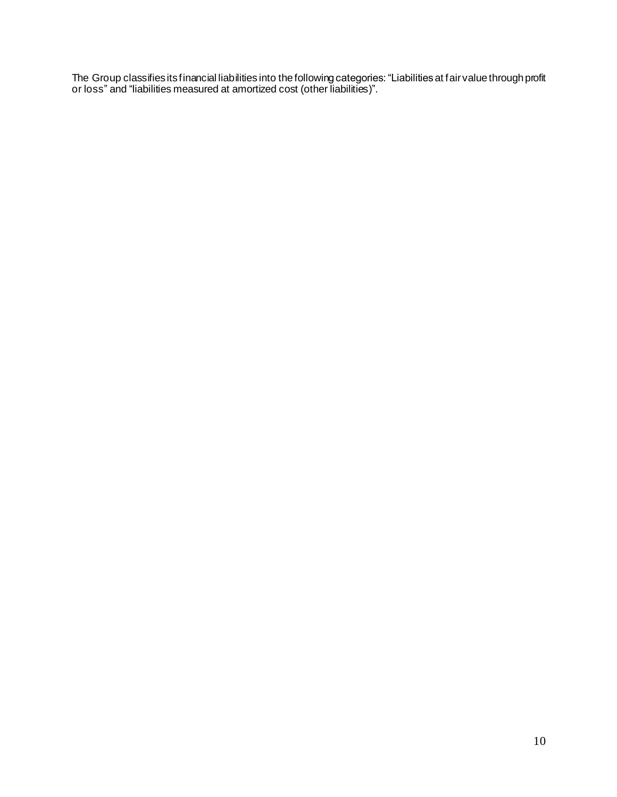The Group classifies its financial liabilities into the following categories: "Liabilitiesat fair value through profit or loss" and "liabilities measured at amortized cost (other liabilities)".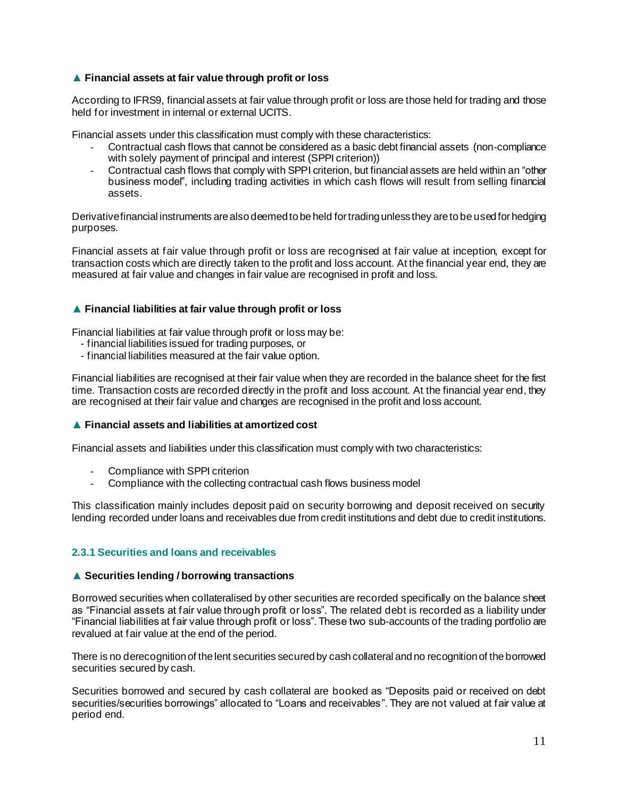#### **▲ Financial assets at fair value through profit or loss**

According to IFRS9, financial assets at fair value through profit or loss are those held for trading and those held for investment in internal or external UCITS.

Financial assets under this classification must comply with these characteristics:

- Contractual cash flows that cannot be considered as a basic debt financial assets (non-compliance with solely payment of principal and interest (SPPI criterion))
- Contractual cash flows that comply with SPPI criterion, but financial assets are held within an "other business model", including trading activities in which cash flows will result from selling financial assets.

Derivativefinancial instruments are also deemed to be held for trading unless they are to be used for hedging purposes.

Financial assets at fair value through profit or loss are recognised at fair value at inception, except for transaction costs which are directly taken to the profit and loss account. At the financial year end, they are measured at fair value and changes in fair value are recognised in profit and loss.

#### **▲ Financial liabilities at fair value through profit or loss**

Financial liabilities at fair value through profit or loss may be:

- financial liabilities issued for trading purposes, or
- financial liabilities measured at the fair value option.

Financial liabilities are recognised at their fair value when they are recorded in the balance sheet for the first time. Transaction costs are recorded directly in the profit and loss account. At the financial year end, they are recognised at their fair value and changes are recognised in the profit and loss account.

#### **▲ Financial assets and liabilities at amortized cost**

Financial assets and liabilities under this classification must comply with two characteristics:

- Compliance with SPPI criterion
- Compliance with the collecting contractual cash flows business model

This classification mainly includes deposit paid on security borrowing and deposit received on security lending recorded under loans and receivables due from credit institutions and debt due to credit institutions.

#### **2.3.1 Securities and loans and receivables**

#### **▲ Securities lending / borrowing transactions**

Borrowed securities when collateralised by other securities are recorded specifically on the balance sheet as "Financial assets at fair value through profit or loss". The related debt is recorded as a liability under "Financial liabilities at fair value through profit or loss". These two sub-accounts of the trading portfolio are revalued at fair value at the end of the period.

There is no derecognition of the lent securities secured by cash collateral and no recognition of the borrowed securities secured by cash.

Securities borrowed and secured by cash collateral are booked as "Deposits paid or received on debt securities/securities borrowings" allocated to "Loans and receivables". They are not valued at fair value at period end.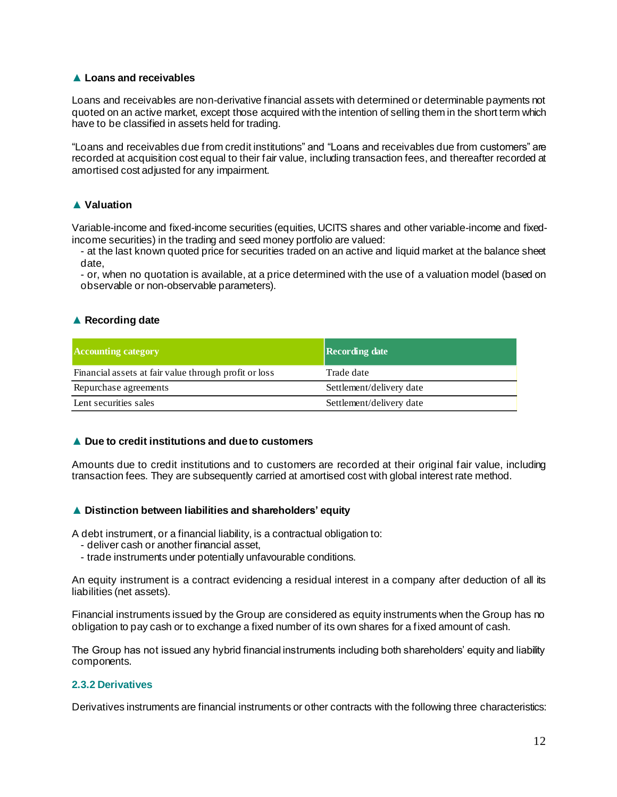#### **▲ Loans and receivables**

Loans and receivables are non-derivative financial assets with determined or determinable payments not quoted on an active market, except those acquired with the intention of selling them in the short term which have to be classified in assets held for trading.

"Loans and receivables due from credit institutions" and "Loans and receivables due from customers" are recorded at acquisition cost equal to their fair value, including transaction fees, and thereafter recorded at amortised cost adjusted for any impairment.

#### **▲ Valuation**

Variable-income and fixed-income securities (equities, UCITS shares and other variable-income and fixedincome securities) in the trading and seed money portfolio are valued:

- at the last known quoted price for securities traded on an active and liquid market at the balance sheet date,

- or, when no quotation is available, at a price determined with the use of a valuation model (based on observable or non-observable parameters).

#### **▲ Recording date**

| <b>Accounting category</b>                            | <b>Recording date</b>    |
|-------------------------------------------------------|--------------------------|
| Financial assets at fair value through profit or loss | Trade date               |
| Repurchase agreements                                 | Settlement/delivery date |
| Lent securities sales                                 | Settlement/delivery date |

#### **▲ Due to credit institutions and due to customers**

Amounts due to credit institutions and to customers are recorded at their original fair value, including transaction fees. They are subsequently carried at amortised cost with global interest rate method.

#### **▲ Distinction between liabilities and shareholders' equity**

A debt instrument, or a financial liability, is a contractual obligation to:

- deliver cash or another financial asset,
- trade instruments under potentially unfavourable conditions.

An equity instrument is a contract evidencing a residual interest in a company after deduction of all its liabilities (net assets).

Financial instruments issued by the Group are considered as equity instruments when the Group has no obligation to pay cash or to exchange a fixed number of its own shares for a fixed amount of cash.

The Group has not issued any hybrid financial instruments including both shareholders' equity and liability components.

#### **2.3.2 Derivatives**

Derivatives instruments are financial instruments or other contracts with the following three characteristics: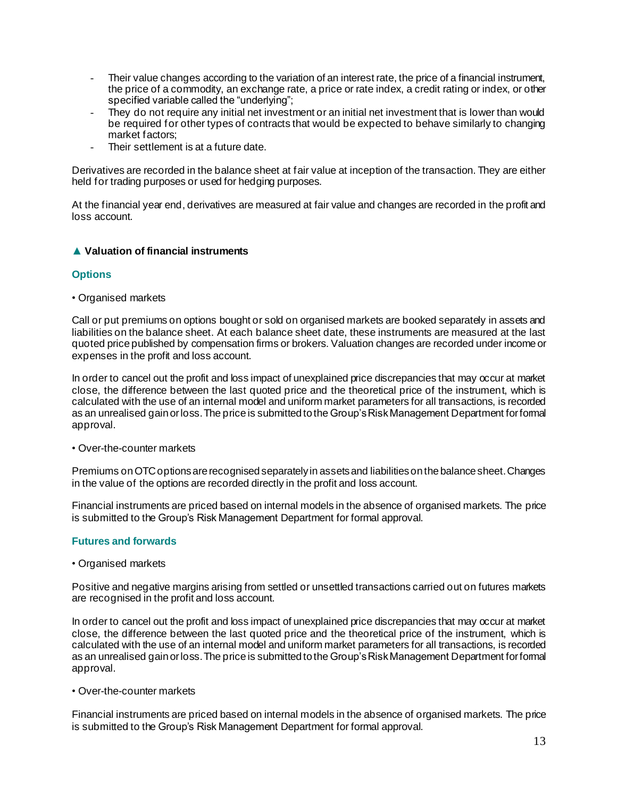- Their value changes according to the variation of an interest rate, the price of a financial instrument, the price of a commodity, an exchange rate, a price or rate index, a credit rating or index, or other specified variable called the "underlying";
- They do not require any initial net investment or an initial net investment that is lower than would be required for other types of contracts that would be expected to behave similarly to changing market factors;
- Their settlement is at a future date.

Derivatives are recorded in the balance sheet at fair value at inception of the transaction. They are either held for trading purposes or used for hedging purposes.

At the financial year end, derivatives are measured at fair value and changes are recorded in the profit and loss account.

#### **▲ Valuation of financial instruments**

#### **Options**

*•* Organised markets

Call or put premiums on options bought or sold on organised markets are booked separately in assets and liabilities on the balance sheet. At each balance sheet date, these instruments are measured at the last quoted price published by compensation firms or brokers. Valuation changes are recorded under income or expenses in the profit and loss account.

In order to cancel out the profit and loss impact of unexplained price discrepancies that may occur at market close, the difference between the last quoted price and the theoretical price of the instrument, which is calculated with the use of an internal model and uniform market parameters for all transactions, is recorded as an unrealised gain or loss. The price is submitted to the Group's Risk Management Department for formal approval.

*•* Over-the-counter markets

Premiums on OTC options are recognised separately in assets and liabilities on the balance sheet. Changes in the value of the options are recorded directly in the profit and loss account.

Financial instruments are priced based on internal models in the absence of organised markets. The price is submitted to the Group's Risk Management Department for formal approval.

#### **Futures and forwards**

*•* Organised markets

Positive and negative margins arising from settled or unsettled transactions carried out on futures markets are recognised in the profit and loss account.

In order to cancel out the profit and loss impact of unexplained price discrepancies that may occur at market close, the difference between the last quoted price and the theoretical price of the instrument, which is calculated with the use of an internal model and uniform market parameters for all transactions, is recorded as an unrealised gain or loss. The price is submitted to the Group's Risk Management Department for formal approval.

*•* Over-the-counter markets

Financial instruments are priced based on internal models in the absence of organised markets. The price is submitted to the Group's Risk Management Department for formal approval.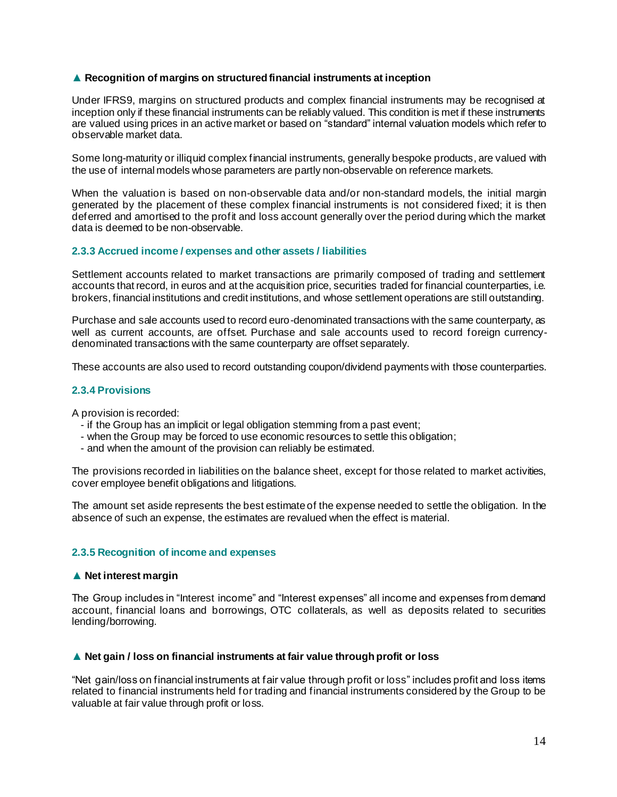#### **▲ Recognition of margins on structured financial instruments at inception**

Under IFRS9, margins on structured products and complex financial instruments may be recognised at inception only if these financial instruments can be reliably valued. This condition is met if these instruments are valued using prices in an active market or based on "standard" internal valuation models which refer to observable market data.

Some long-maturity or illiquid complex financial instruments, generally bespoke products, are valued with the use of internal models whose parameters are partly non-observable on reference markets.

When the valuation is based on non-observable data and/or non-standard models, the initial margin generated by the placement of these complex financial instruments is not considered fixed; it is then deferred and amortised to the profit and loss account generally over the period during which the market data is deemed to be non-observable.

#### **2.3.3 Accrued income / expenses and other assets / liabilities**

Settlement accounts related to market transactions are primarily composed of trading and settlement accounts that record, in euros and at the acquisition price, securities traded for financial counterparties, i.e. brokers, financial institutions and credit institutions, and whose settlement operations are still outstanding.

Purchase and sale accounts used to record euro-denominated transactions with the same counterparty, as well as current accounts, are offset. Purchase and sale accounts used to record foreign currencydenominated transactions with the same counterparty are offset separately.

These accounts are also used to record outstanding coupon/dividend payments with those counterparties.

#### **2.3.4 Provisions**

A provision is recorded:

- if the Group has an implicit or legal obligation stemming from a past event;
- when the Group may be forced to use economic resources to settle this obligation;
- and when the amount of the provision can reliably be estimated.

The provisions recorded in liabilities on the balance sheet, except for those related to market activities, cover employee benefit obligations and litigations.

The amount set aside represents the best estimate of the expense needed to settle the obligation. In the absence of such an expense, the estimates are revalued when the effect is material.

#### **2.3.5 Recognition of income and expenses**

#### **▲ Net interest margin**

The Group includes in "Interest income" and "Interest expenses" all income and expenses from demand account, financial loans and borrowings, OTC collaterals, as well as deposits related to securities lending/borrowing.

#### **▲ Net gain / loss on financial instruments at fair value through profit or loss**

"Net gain/loss on financial instruments at fair value through profit or loss" includes profit and loss items related to financial instruments held for trading and financial instruments considered by the Group to be valuable at fair value through profit or loss.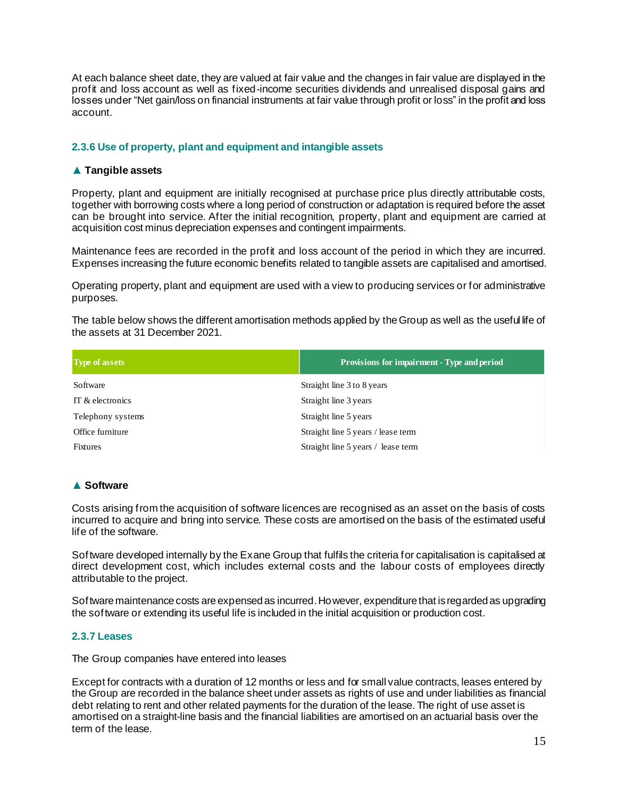At each balance sheet date, they are valued at fair value and the changes in fair value are displayed in the profit and loss account as well as fixed-income securities dividends and unrealised disposal gains and losses under "Net gain/loss on financial instruments at fair value through profit or loss" in the profit and loss account.

#### **2.3.6 Use of property, plant and equipment and intangible assets**

#### **▲ Tangible assets**

Property, plant and equipment are initially recognised at purchase price plus directly attributable costs, together with borrowing costs where a long period of construction or adaptation is required before the asset can be brought into service. After the initial recognition, property, plant and equipment are carried at acquisition cost minus depreciation expenses and contingent impairments.

Maintenance fees are recorded in the profit and loss account of the period in which they are incurred. Expenses increasing the future economic benefits related to tangible assets are capitalised and amortised.

Operating property, plant and equipment are used with a view to producing services or for administrative purposes.

The table below shows the different amortisation methods applied by the Group as well as the useful life of the assets at 31 December 2021.

| <b>Type of assets</b>                        | Provisions for impairment - Type and period                                                                                                                                                                                                                                                                                                                                                                                                             |
|----------------------------------------------|---------------------------------------------------------------------------------------------------------------------------------------------------------------------------------------------------------------------------------------------------------------------------------------------------------------------------------------------------------------------------------------------------------------------------------------------------------|
| Software                                     | Straight line 3 to 8 years                                                                                                                                                                                                                                                                                                                                                                                                                              |
| IT & electronics                             | Straight line 3 years                                                                                                                                                                                                                                                                                                                                                                                                                                   |
| Telephony systems                            | Straight line 5 years                                                                                                                                                                                                                                                                                                                                                                                                                                   |
| Office furniture                             | Straight line 5 years / lease term                                                                                                                                                                                                                                                                                                                                                                                                                      |
| <b>Fixtures</b>                              | Straight line 5 years / lease term                                                                                                                                                                                                                                                                                                                                                                                                                      |
| <b>▲ Software</b>                            |                                                                                                                                                                                                                                                                                                                                                                                                                                                         |
| life of the software.                        | Costs arising from the acquisition of software licences are recognised as an asset on the basis of costs<br>incurred to acquire and bring into service. These costs are amortised on the basis of the estimated useful                                                                                                                                                                                                                                  |
| attributable to the project.                 | Software developed internally by the Exane Group that fulfils the criteria for capitalisation is capitalised at<br>direct development cost, which includes external costs and the labour costs of employees directly                                                                                                                                                                                                                                    |
|                                              | Software maintenance costs are expensed as incurred. Ho wever, expenditure that is regarded as upgrading<br>the software or extending its useful life is included in the initial acquisition or production cost.                                                                                                                                                                                                                                        |
| 2.3.7 Leases                                 |                                                                                                                                                                                                                                                                                                                                                                                                                                                         |
| The Group companies have entered into leases |                                                                                                                                                                                                                                                                                                                                                                                                                                                         |
| term of the lease.                           | Except for contracts with a duration of 12 months or less and for small value contracts, leases entered by<br>the Group are recorded in the balance sheet under assets as rights of use and under liabilities as financia<br>debt relating to rent and other related payments for the duration of the lease. The right of use asset is<br>amortised on a straight-line basis and the financial liabilities are amortised on an actuarial basis over the |

#### **▲ Software**

#### **2.3.7 Leases**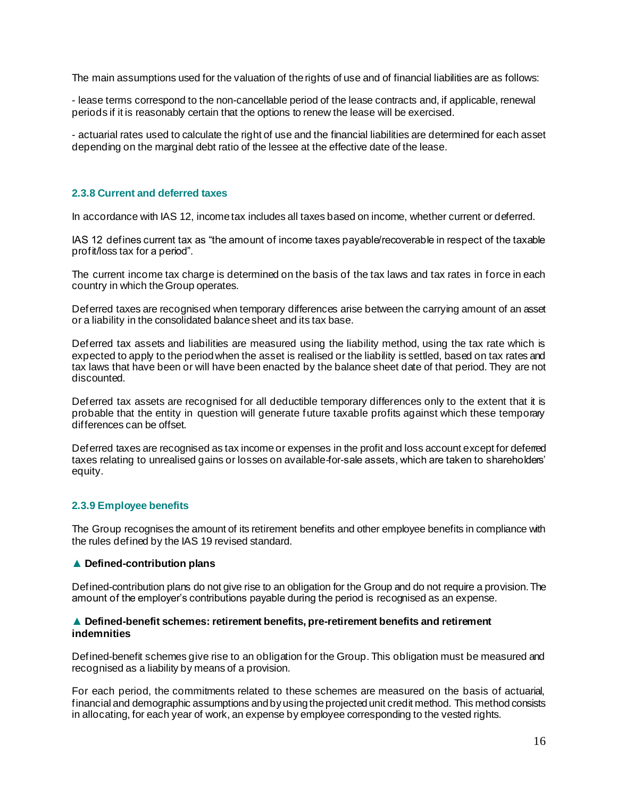The main assumptions used for the valuation of the rights of use and of financial liabilities are as follows:

- lease terms correspond to the non-cancellable period of the lease contracts and, if applicable, renewal periods if it is reasonably certain that the options to renew the lease will be exercised.

- actuarial rates used to calculate the right of use and the financial liabilities are determined for each asset depending on the marginal debt ratio of the lessee at the effective date of the lease.

#### **2.3.8 Current and deferred taxes**

In accordance with IAS 12, income tax includes all taxes based on income, whether current or deferred.

IAS 12 defines current tax as "the amount of income taxes payable/recoverable in respect of the taxable profit/loss tax for a period".

The current income tax charge is determined on the basis of the tax laws and tax rates in force in each country in which the Group operates.

Deferred taxes are recognised when temporary differences arise between the carrying amount of an asset or a liability in the consolidated balance sheet and its tax base.

Deferred tax assets and liabilities are measured using the liability method, using the tax rate which is expected to apply to the period when the asset is realised or the liability is settled, based on tax rates and tax laws that have been or will have been enacted by the balance sheet date of that period. They are not discounted.

Deferred tax assets are recognised for all deductible temporary differences only to the extent that it is probable that the entity in question will generate future taxable profits against which these temporary differences can be offset.

Deferred taxes are recognised as tax income or expenses in the profit and loss account except for deferred taxes relating to unrealised gains or losses on available-for-sale assets, which are taken to shareholders' equity.

#### **2.3.9 Employee benefits**

The Group recognises the amount of its retirement benefits and other employee benefits in compliance with the rules defined by the IAS 19 revised standard.

#### ▲ **Defined-contribution plans**

Defined-contribution plans do not give rise to an obligation for the Group and do not require a provision. The amount of the employer's contributions payable during the period is recognised as an expense.

#### ▲ **Defined-benefit schemes: retirement benefits, pre-retirement benefits and retirement indemnities**

Defined-benefit schemes give rise to an obligation for the Group. This obligation must be measured and recognised as a liability by means of a provision.

For each period, the commitments related to these schemes are measured on the basis of actuarial, financial and demographic assumptions and by using the projected unit credit method. This method consists in allocating, for each year of work, an expense by employee corresponding to the vested rights.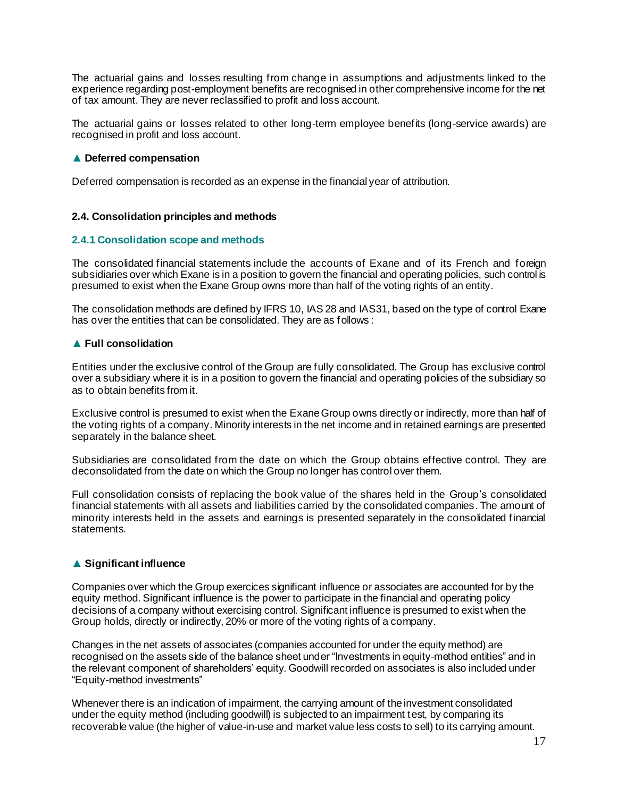The actuarial gains and losses resulting from change in assumptions and adjustments linked to the experience regarding post-employment benefits are recognised in other comprehensive income for the net of tax amount. They are never reclassified to profit and loss account.

The actuarial gains or losses related to other long-term employee benefits (long-service awards) are recognised in profit and loss account.

#### ▲ **Deferred compensation**

Deferred compensation is recorded as an expense in the financial year of attribution.

#### **2.4. Consolidation principles and methods**

#### **2.4.1 Consolidation scope and methods**

The consolidated financial statements include the accounts of Exane and of its French and foreign subsidiaries over which Exane is in a position to govern the financial and operating policies, such control is presumed to exist when the Exane Group owns more than half of the voting rights of an entity.

The consolidation methods are defined by IFRS 10, IAS 28 and IAS31, based on the type of control Exane has over the entities that can be consolidated. They are as follows:

#### ▲ **Full consolidation**

Entities under the exclusive control of the Group are fully consolidated. The Group has exclusive control over a subsidiary where it is in a position to govern the financial and operating policies of the subsidiary so as to obtain benefits from it.

Exclusive control is presumed to exist when the Exane Group owns directly or indirectly, more than half of the voting rights of a company. Minority interests in the net income and in retained earnings are presented separately in the balance sheet.

Subsidiaries are consolidated from the date on which the Group obtains effective control. They are deconsolidated from the date on which the Group no longer has control over them.

Full consolidation consists of replacing the book value of the shares held in the Group's consolidated financial statements with all assets and liabilities carried by the consolidated companies. The amount of minority interests held in the assets and earnings is presented separately in the consolidated financial statements.

#### ▲ **Significant influence**

Companies over which the Group exercices significant influence or associates are accounted for by the equity method. Significant influence is the power to participate in the financial and operating policy decisions of a company without exercising control. Significant influence is presumed to exist when the Group holds, directly or indirectly, 20% or more of the voting rights of a company.

Changes in the net assets of associates (companies accounted for under the equity method) are recognised on the assets side of the balance sheet under "Investments in equity-method entities" and in the relevant component of shareholders' equity. Goodwill recorded on associates is also included under "Equity-method investments"

Whenever there is an indication of impairment, the carrying amount of the investment consolidated under the equity method (including goodwill) is subjected to an impairment test, by comparing its recoverable value (the higher of value-in-use and market value less costs to sell) to its carrying amount.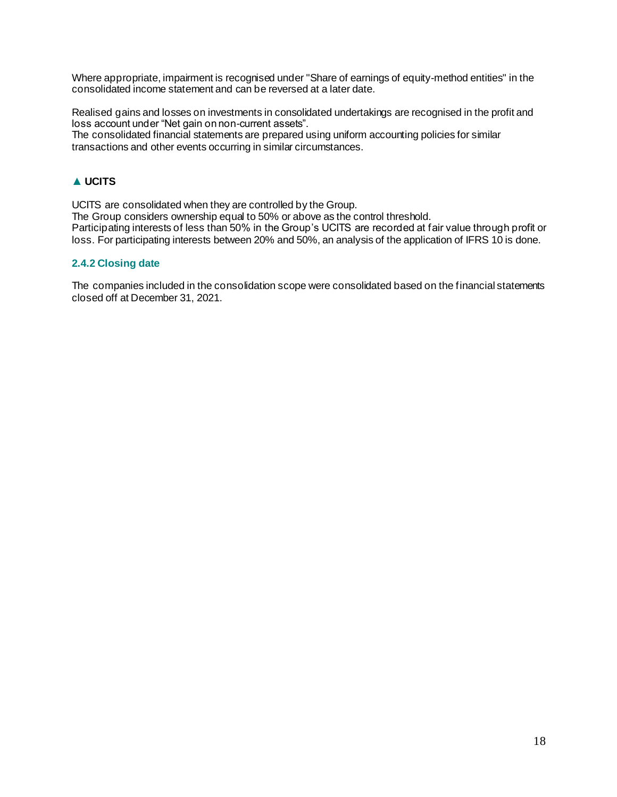Where appropriate, impairment is recognised under "Share of earnings of equity-method entities" in the consolidated income statement and can be reversed at a later date.

Realised gains and losses on investments in consolidated undertakings are recognised in the profit and loss account under "Net gain on non-current assets".

The consolidated financial statements are prepared using uniform accounting policies for similar transactions and other events occurring in similar circumstances.

#### ▲ **UCITS**

UCITS are consolidated when they are controlled by the Group.

The Group considers ownership equal to 50% or above as the control threshold. Participating interests of less than 50% in the Group's UCITS are recorded at fair value through profit or loss. For participating interests between 20% and 50%, an analysis of the application of IFRS 10 is done.

#### **2.4.2 Closing date**

The companies included in the consolidation scope were consolidated based on the financial statements closed off at December 31, 2021.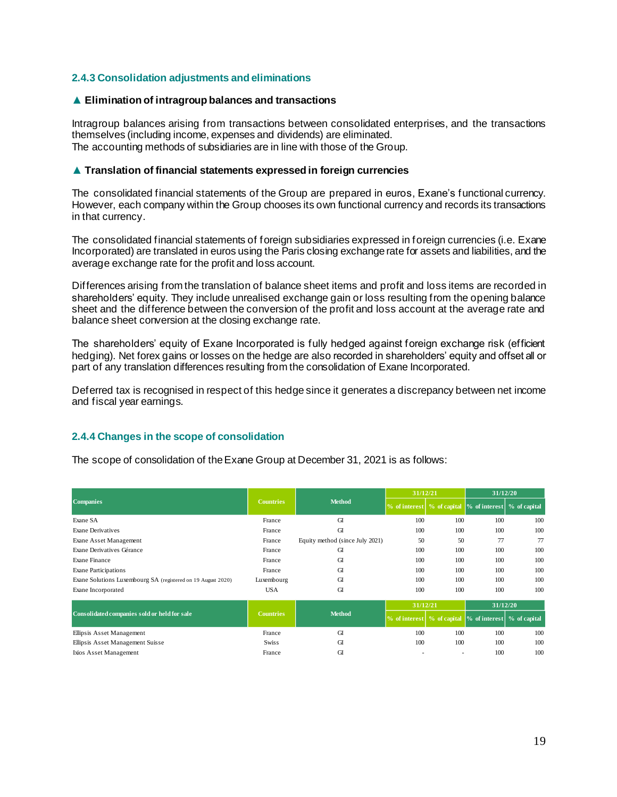#### **2.4.3 Consolidation adjustments and eliminations**

#### ▲ **Elimination of intragroup balances and transactions**

Intragroup balances arising from transactions between consolidated enterprises, and the transactions themselves (including income, expenses and dividends) are eliminated. The accounting methods of subsidiaries are in line with those of the Group.

#### ▲ **Translation of financial statements expressed in foreign currencies**

The consolidated financial statements of the Group are prepared in euros, Exane's functional currency. However, each company within the Group chooses its own functional currency and records its transactions in that currency.

The consolidated financial statements of foreign subsidiaries expressed in foreign currencies (i.e. Exane Incorporated) are translated in euros using the Paris closing exchange rate for assets and liabilities, and the average exchange rate for the profit and loss account.

Differences arising from the translation of balance sheet items and profit and loss items are recorded in shareholders' equity. They include unrealised exchange gain or loss resulting from the opening balance sheet and the difference between the conversion of the profit and loss account at the average rate and balance sheet conversion at the closing exchange rate.

The shareholders' equity of Exane Incorporated is fully hedged against foreign exchange risk (efficient hedging). Net forex gains or losses on the hedge are also recorded in shareholders' equity and offset all or part of any translation differences resulting from the consolidation of Exane Incorporated.

Deferred tax is recognised in respect of this hedge since it generates a discrepancy between net income and fiscal year earnings.

#### **2.4.4 Changes in the scope of consolidation**

The scope of consolidation of the Exane Group at December 31, 2021 is as follows:

|                                                              |                  |                                 | 31/12/21                   |     | 31/12/20                                                   |              |  |
|--------------------------------------------------------------|------------------|---------------------------------|----------------------------|-----|------------------------------------------------------------|--------------|--|
| <b>Companies</b>                                             | <b>Countries</b> | <b>Method</b>                   |                            |     | % of interest   % of capital  % of interest   % of capital |              |  |
| Exane SA                                                     | France           | GI                              | 100                        | 100 | 100                                                        | 100          |  |
| <b>Exane Derivatives</b>                                     | France           | GI                              | 100                        | 100 | 100                                                        | 100          |  |
| Exane Asset Management                                       | France           | Equity method (since July 2021) | 50                         | 50  | 77                                                         | 77           |  |
| Exane Derivatives Gérance                                    | France           | GI                              | 100                        | 100 | 100                                                        | 100          |  |
| <b>Exane Finance</b>                                         | France           | GI<br>100                       |                            | 100 | 100                                                        | 100          |  |
| <b>Exane Participations</b>                                  | France           | GI                              | 100                        | 100 | 100                                                        | 100          |  |
| Exane Solutions Luxembourg SA (registered on 19 August 2020) | Luxembourg       | GI                              | 100                        | 100 | 100                                                        | 100          |  |
| Exane Incorporated                                           | <b>USA</b>       | GI                              | 100                        | 100 | 100                                                        | 100          |  |
|                                                              | <b>Countries</b> |                                 | 31/12/21                   |     | 31/12/20                                                   |              |  |
| Consolidated companies sold or held for sale                 |                  | <b>Method</b>                   | % of interest % of capital |     | $\%$ of interest                                           | % of capital |  |
| Ellipsis Asset Management                                    | France           | GI                              | 100                        | 100 | 100                                                        | 100          |  |
| Ellipsis Asset Management Suisse                             | <b>Swiss</b>     | GI                              | 100                        | 100 | 100                                                        | 100          |  |
| Ixios Asset Management                                       | France           | GI                              |                            | ٠   | 100                                                        | 100          |  |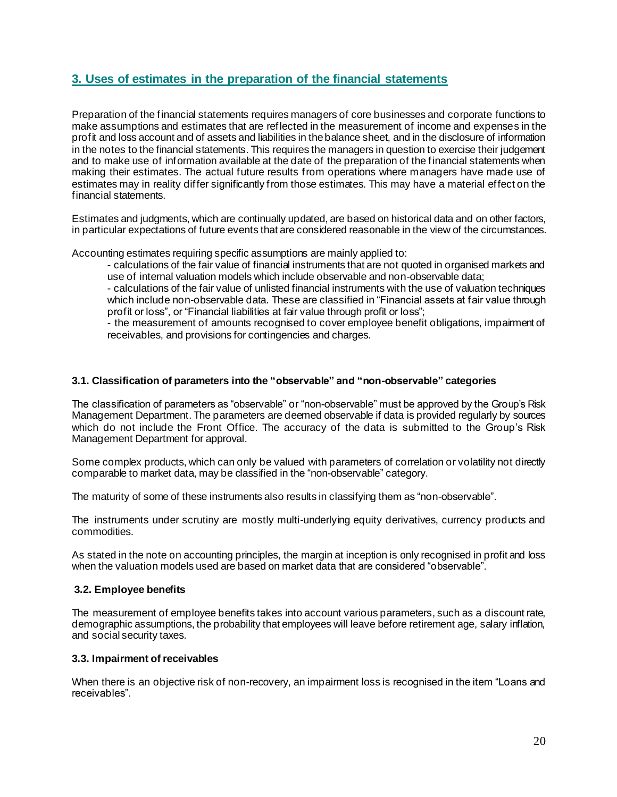### **3. Uses of estimates in the preparation of the financial statements**

Preparation of the financial statements requires managers of core businesses and corporate functions to make assumptions and estimates that are reflected in the measurement of income and expenses in the profit and loss account and of assets and liabilities in the balance sheet, and in the disclosure of information in the notes to the financial statements. This requires the managers in question to exercise their judgement and to make use of information available at the date of the preparation of the financial statements when making their estimates. The actual future results from operations where managers have made use of estimates may in reality differ significantly from those estimates. This may have a material effect on the financial statements.

Estimates and judgments, which are continually updated, are based on historical data and on other factors, in particular expectations of future events that are considered reasonable in the view of the circumstances.

Accounting estimates requiring specific assumptions are mainly applied to:

- calculations of the fair value of financial instruments that are not quoted in organised markets and use of internal valuation models which include observable and non-observable data;

- calculations of the fair value of unlisted financial instruments with the use of valuation techniques which include non-observable data. These are classified in "Financial assets at fair value through profit or loss", or "Financial liabilities at fair value through profit or loss";

- the measurement of amounts recognised to cover employee benefit obligations, impairment of receivables, and provisions for contingencies and charges.

#### **3.1. Classification of parameters into the "observable" and "non-observable" categories**

The classification of parameters as "observable" or "non-observable" must be approved by the Group's Risk Management Department. The parameters are deemed observable if data is provided regularly by sources which do not include the Front Office. The accuracy of the data is submitted to the Group's Risk Management Department for approval.

Some complex products, which can only be valued with parameters of correlation or volatility not directly comparable to market data, may be classified in the "non-observable" category.

The maturity of some of these instruments also results in classifying them as "non-observable".

The instruments under scrutiny are mostly multi-underlying equity derivatives, currency products and commodities.

As stated in the note on accounting principles, the margin at inception is only recognised in profit and loss when the valuation models used are based on market data that are considered "observable".

#### **3.2. Employee benefits**

The measurement of employee benefits takes into account various parameters, such as a discount rate, demographic assumptions, the probability that employees will leave before retirement age, salary inflation, and social security taxes.

#### **3.3. Impairment of receivables**

When there is an objective risk of non-recovery, an impairment loss is recognised in the item "Loans and receivables".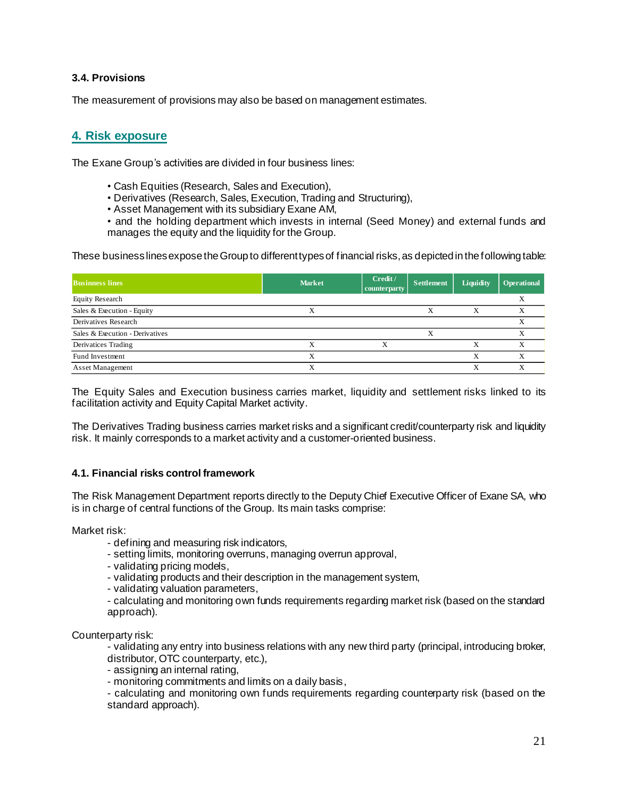#### **3.4. Provisions**

The measurement of provisions may also be based on management estimates.

### **4. Risk exposure**

The Exane Group's activities are divided in four business lines:

- Cash Equities (Research, Sales and Execution),
- Derivatives (Research, Sales, Execution, Trading and Structuring),
- Asset Management with its subsidiary Exane AM,
- and the holding department which invests in internal (Seed Money) and external funds and manages the equity and the liquidity for the Group.

These business lines expose the Group to different types of financial risks, as depicted in the following table:

| <b>Businness lines</b>          | <b>Market</b> | Credit /<br>counterparty | <b>Settlement</b> | Liquidity | <b>Operational</b> |
|---------------------------------|---------------|--------------------------|-------------------|-----------|--------------------|
| <b>Equity Research</b>          |               |                          |                   |           |                    |
| Sales & Execution - Equity      |               |                          |                   |           |                    |
| Derivatives Research            |               |                          |                   |           |                    |
| Sales & Execution - Derivatives |               |                          |                   |           |                    |
| Derivatices Trading             | л             | л                        |                   |           |                    |
| Fund Investment                 | X             |                          |                   | X         |                    |
| <b>Asset Management</b>         | v             |                          |                   |           |                    |

The Equity Sales and Execution business carries market, liquidity and settlement risks linked to its facilitation activity and Equity Capital Market activity.

The Derivatives Trading business carries market risks and a significant credit/counterparty risk and liquidity risk. It mainly corresponds to a market activity and a customer-oriented business.

#### **4.1. Financial risks control framework**

The Risk Management Department reports directly to the Deputy Chief Executive Officer of Exane SA, who is in charge of central functions of the Group. Its main tasks comprise:

Market risk:

- defining and measuring risk indicators,
- setting limits, monitoring overruns, managing overrun approval,
- validating pricing models,
- validating products and their description in the management system,
- validating valuation parameters,
- calculating and monitoring own funds requirements regarding market risk (based on the standard approach).

Counterparty risk:

- validating any entry into business relations with any new third party (principal, introducing broker, distributor, OTC counterparty, etc.),

- assigning an internal rating,
- monitoring commitments and limits on a daily basis,

- calculating and monitoring own funds requirements regarding counterparty risk (based on the standard approach).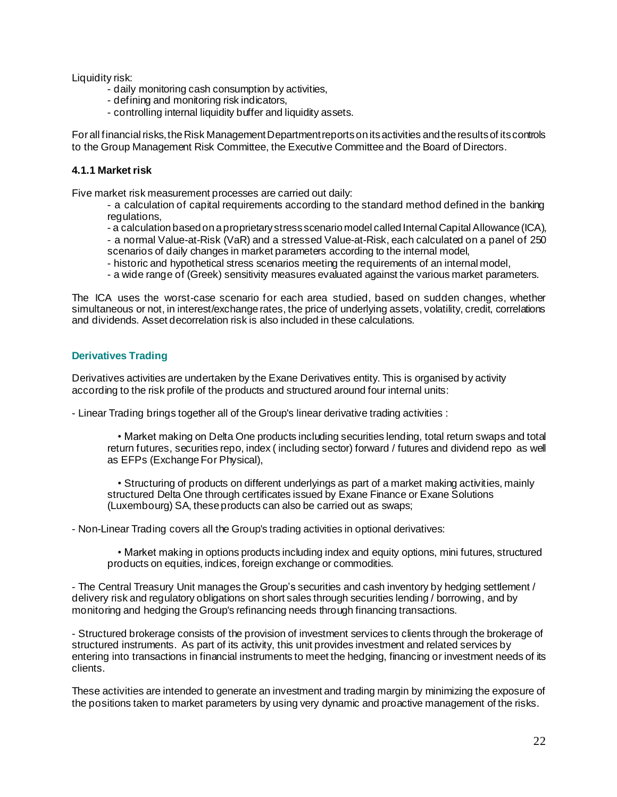Liquidity risk:

- daily monitoring cash consumption by activities,
- defining and monitoring risk indicators,
- controlling internal liquidity buffer and liquidity assets.

For all financial risks, the Risk Management Department reportsonits activities and the results of its controls to the Group Management Risk Committee, the Executive Committee and the Board of Directors.

#### **4.1.1 Market risk**

Five market risk measurement processes are carried out daily:

- a calculation of capital requirements according to the standard method defined in the banking regulations,
- a calculation based on a proprietary stress scenario model called Internal Capital Allowance (ICA),
- a normal Value-at-Risk (VaR) and a stressed Value-at-Risk, each calculated on a panel of 250 scenarios of daily changes in market parameters according to the internal model,
- historic and hypothetical stress scenarios meeting the requirements of an internal model,
- a wide range of (Greek) sensitivity measures evaluated against the various market parameters.

The ICA uses the worst-case scenario for each area studied, based on sudden changes, whether simultaneous or not, in interest/exchange rates, the price of underlying assets, volatility, credit, correlations and dividends. Asset decorrelation risk is also included in these calculations.

#### **Derivatives Trading**

Derivatives activities are undertaken by the Exane Derivatives entity. This is organised by activity according to the risk profile of the products and structured around four internal units:

- Linear Trading brings together all of the Group's linear derivative trading activities :

• Market making on Delta One products including securities lending, total return swaps and total return futures, securities repo, index ( including sector) forward / futures and dividend repo as well as EFPs (Exchange For Physical),

• Structuring of products on different underlyings as part of a market making activities, mainly structured Delta One through certificates issued by Exane Finance or Exane Solutions (Luxembourg) SA, these products can also be carried out as swaps;

- Non-Linear Trading covers all the Group's trading activities in optional derivatives:

• Market making in options products including index and equity options, mini futures, structured products on equities, indices, foreign exchange or commodities.

- The Central Treasury Unit manages the Group's securities and cash inventory by hedging settlement / delivery risk and regulatory obligations on short sales through securities lending / borrowing, and by monitoring and hedging the Group's refinancing needs through financing transactions.

- Structured brokerage consists of the provision of investment services to clients through the brokerage of structured instruments. As part of its activity, this unit provides investment and related services by entering into transactions in financial instruments to meet the hedging, financing or investment needs of its clients.

These activities are intended to generate an investment and trading margin by minimizing the exposure of the positions taken to market parameters by using very dynamic and proactive management of the risks.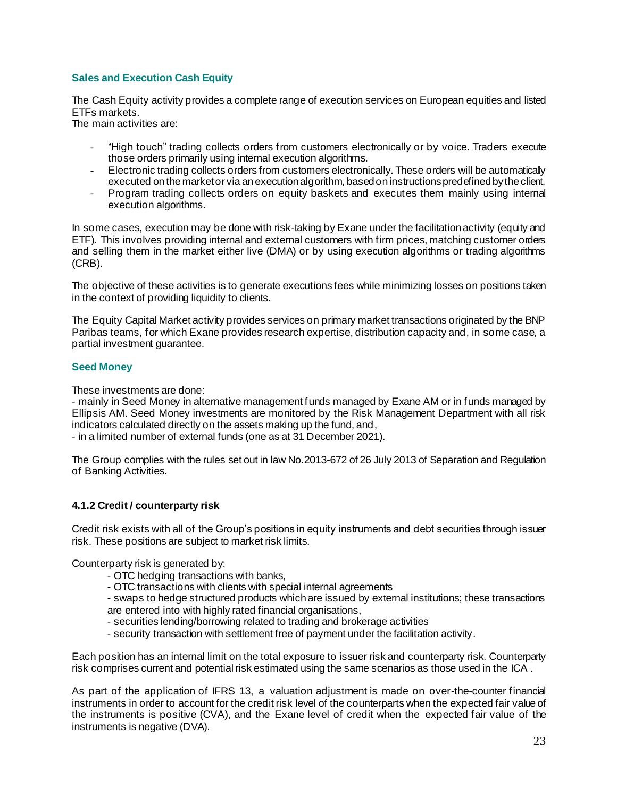### **Sales and Execution Cash Equity**

The Cash Equity activity provides a complete range of execution services on European equities and listed ETFs markets.

The main activities are:

- "High touch" trading collects orders from customers electronically or by voice. Traders execute those orders primarily using internal execution algorithms.
- Electronic trading collects orders from customers electronically. These orders will be automatically executed on the market or via an execution algorithm, based on instructions predefined by the client.
- Program trading collects orders on equity baskets and executes them mainly using internal execution algorithms.

In some cases, execution may be done with risk-taking by Exane under the facilitation activity (equity and ETF). This involves providing internal and external customers with firm prices, matching customer orders and selling them in the market either live (DMA) or by using execution algorithms or trading algorithms (CRB).

The objective of these activities is to generate executions fees while minimizing losses on positions taken in the context of providing liquidity to clients.

The Equity Capital Market activity provides services on primary market transactions originated by the BNP Paribas teams, for which Exane provides research expertise, distribution capacity and, in some case, a partial investment guarantee.

#### **Seed Money**

These investments are done:

- mainly in Seed Money in alternative management funds managed by Exane AM or in funds managed by Ellipsis AM. Seed Money investments are monitored by the Risk Management Department with all risk indicators calculated directly on the assets making up the fund, and,

- in a limited number of external funds (one as at 31 December 2021).

The Group complies with the rules set out in law No.2013-672 of 26 July 2013 of Separation and Regulation of Banking Activities.

#### **4.1.2 Credit / counterparty risk**

Credit risk exists with all of the Group's positions in equity instruments and debt securities through issuer risk. These positions are subject to market risk limits.

Counterparty risk is generated by:

- OTC hedging transactions with banks,
- OTC transactions with clients with special internal agreements

- swaps to hedge structured products which are issued by external institutions; these transactions are entered into with highly rated financial organisations,

- securities lending/borrowing related to trading and brokerage activities
- security transaction with settlement free of payment under the facilitation activity.

Each position has an internal limit on the total exposure to issuer risk and counterparty risk. Counterparty risk comprises current and potential risk estimated using the same scenarios as those used in the ICA .

As part of the application of IFRS 13, a valuation adjustment is made on over-the-counter financial instruments in order to account for the credit risk level of the counterparts when the expected fair value of the instruments is positive (CVA), and the Exane level of credit when the expected fair value of the instruments is negative (DVA).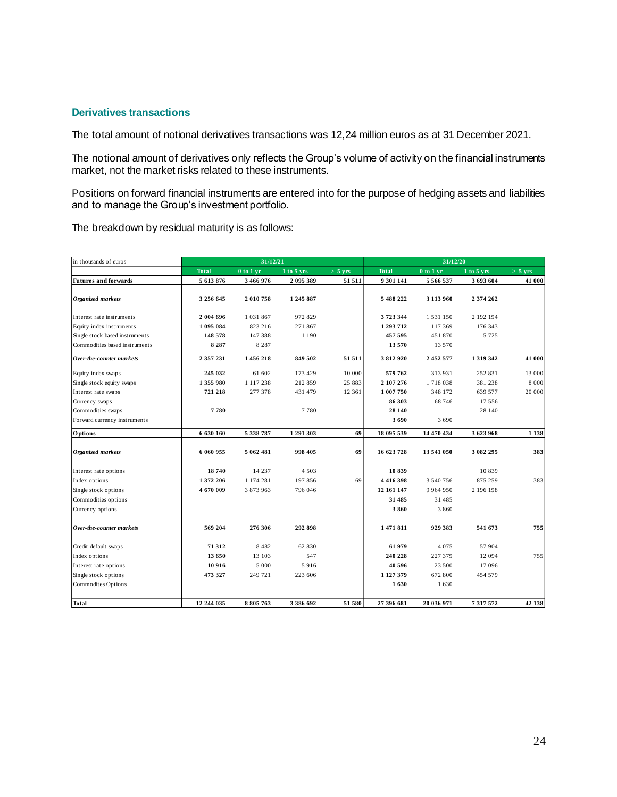#### **Derivatives transactions**

The total amount of notional derivatives transactions was 12,24 million euros as at 31 December 2021.

The notional amount of derivatives only reflects the Group's volume of activity on the financial instruments market, not the market risks related to these instruments.

Positions on forward financial instruments are entered into for the purpose of hedging assets and liabilities and to manage the Group's investment portfolio.

The breakdown by residual maturity is as follows:

| in thousands of euros          | 31/12/21     |               |            |           |              | 31/12/20      |               |           |
|--------------------------------|--------------|---------------|------------|-----------|--------------|---------------|---------------|-----------|
|                                | <b>Total</b> | $0$ to $1$ yr | 1 to 5 yrs | $>$ 5 yrs | <b>Total</b> | $0$ to $1$ yr | 1 to 5 yrs    | $>$ 5 yrs |
| <b>Futures and forwards</b>    | 5 613 876    | 3 466 976     | 2 095 389  | 51 511    | 9 301 141    | 5 566 537     | 3 693 604     | 41 000    |
|                                |              |               |            |           |              |               |               |           |
| Organised markets              | 3 256 645    | 2010758       | 1 245 887  |           | 5 488 222    | 3 1 1 3 9 6 0 | 2 374 262     |           |
| Interest rate instruments      | 2 004 696    | 1 0 3 1 8 6 7 | 972 829    |           | 3723344      | 1531150       | 2 192 194     |           |
| Equity index instruments       | 1 095 084    | 823 216       | 271867     |           | 1 293 712    | 1 1 1 7 3 6 9 | 176 343       |           |
| Single stock based instruments | 148 578      | 147 388       | 1 1 9 0    |           | 457 595      | 451 870       | 5 7 2 5       |           |
| Commodities based instruments  | 8 2 8 7      | 8 2 8 7       |            |           | 13 570       | 13 570        |               |           |
| Over-the-counter markets       | 2 357 231    | 1456218       | 849 502    | 51 511    | 3812920      | 2 452 577     | 1 3 1 9 3 4 2 | 41 000    |
| Equity index swaps             | 245 032      | 61 602        | 173 429    | 10 000    | 579 762      | 313 931       | 252 831       | 13 000    |
| Single stock equity swaps      | 1 355 980    | 1 1 1 7 2 3 8 | 212859     | 25 883    | 2 107 276    | 1718038       | 381 238       | 8 0 0 0   |
| Interest rate swaps            | 721 218      | 277 378       | 431 479    | 12 361    | 1 007 750    | 348 172       | 639 577       | 20 000    |
| Currency swaps                 |              |               |            |           | 86 303       | 68 74 6       | 17 556        |           |
| Commodities swaps              | 7780         |               | 7780       |           | 28 140       |               | 28 140        |           |
| Forward currency instruments   |              |               |            |           | 3690         | 3690          |               |           |
| Options                        | 6 630 160    | 5 338 787     | 1 291 303  | 69        | 18 095 539   | 14 470 434    | 3623968       | 1 1 3 8   |
|                                |              |               |            |           |              |               |               |           |
| <b>Organised</b> markets       | 6 060 955    | 5 062 481     | 998 405    | 69        | 16 623 728   | 13 541 050    | 3 082 295     | 383       |
| Interest rate options          | 18740        | 14 237        | 4 5 0 3    |           | 10839        |               | 10839         |           |
| Index options                  | 1 372 206    | 1 174 281     | 197856     | 69        | 4416398      | 3 540 756     | 875 259       | 383       |
| Single stock options           | 4670009      | 3 873 963     | 796 046    |           | 12 161 147   | 9 9 6 4 9 5 0 | 2 196 198     |           |
| Commodities options            |              |               |            |           | 31 485       | 31 485        |               |           |
| Currency options               |              |               |            |           | 3860         | 3860          |               |           |
| Over-the-counter markets       | 569 204      | 276 306       | 292 898    |           | 1471811      | 929 383       | 541 673       | 755       |
| Credit default swaps           | 71 312       | 8 4 8 2       | 62 830     |           | 61979        | 4 0 7 5       | 57 904        |           |
| Index options                  | 13 650       | 13 103        | 547        |           | 240 228      | 227 379       | 12 094        | 755       |
| Interest rate options          | 10 916       | 5 000         | 5916       |           | 40 596       | 23 500        | 17 096        |           |
| Single stock options           | 473 327      | 249 721       | 223 606    |           | 1 127 379    | 672 800       | 454 579       |           |
| <b>Commodites Options</b>      |              |               |            |           | 1630         | 1630          |               |           |
|                                |              |               |            |           |              |               |               |           |
| Total                          | 12 244 035   | 8 805 763     | 3 386 692  | 51 580    | 27 396 681   | 20 036 971    | 7 317 572     | 42 138    |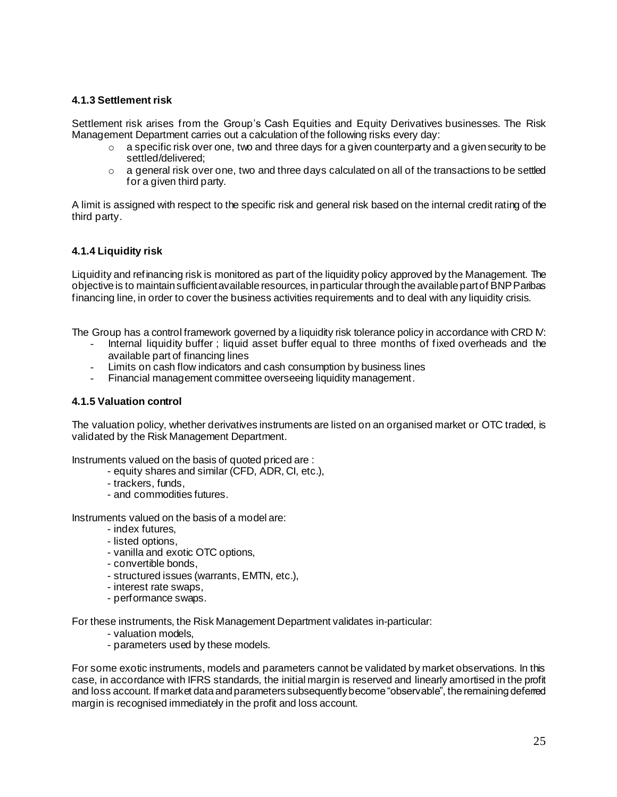#### **4.1.3 Settlement risk**

Settlement risk arises from the Group's Cash Equities and Equity Derivatives businesses. The Risk Management Department carries out a calculation of the following risks every day:

- $\circ$  a specific risk over one, two and three days for a given counterparty and a given security to be settled/delivered;
- $\circ$  a general risk over one, two and three days calculated on all of the transactions to be settled for a given third party.

A limit is assigned with respect to the specific risk and general risk based on the internal credit rating of the third party.

#### **4.1.4 Liquidity risk**

Liquidity and refinancing risk is monitored as part of the liquidity policy approved by the Management. The objective is to maintain sufficient available resources, in particular through the available part of BNPParibas financing line, in order to cover the business activities requirements and to deal with any liquidity crisis.

The Group has a control framework governed by a liquidity risk tolerance policy in accordance with CRD IV:

- Internal liquidity buffer ; liquid asset buffer equal to three months of fixed overheads and the available part of financing lines
- Limits on cash flow indicators and cash consumption by business lines
- Financial management committee overseeing liquidity management.

#### **4.1.5 Valuation control**

The valuation policy, whether derivatives instruments are listed on an organised market or OTC traded, is validated by the Risk Management Department.

Instruments valued on the basis of quoted priced are :

- equity shares and similar (CFD, ADR, CI, etc.),
- trackers, funds,
- and commodities futures.

Instruments valued on the basis of a model are:

- index futures,
- listed options,
- vanilla and exotic OTC options,
- convertible bonds,
- structured issues (warrants, EMTN, etc.),
- interest rate swaps,
- performance swaps.

For these instruments, the Risk Management Department validates in-particular:

- valuation models,
- parameters used by these models.

For some exotic instruments, models and parameters cannot be validated by market observations. In this case, in accordance with IFRS standards, the initial margin is reserved and linearly amortised in the profit and loss account. If market data and parameters subsequently become "observable", the remaining deferred margin is recognised immediately in the profit and loss account.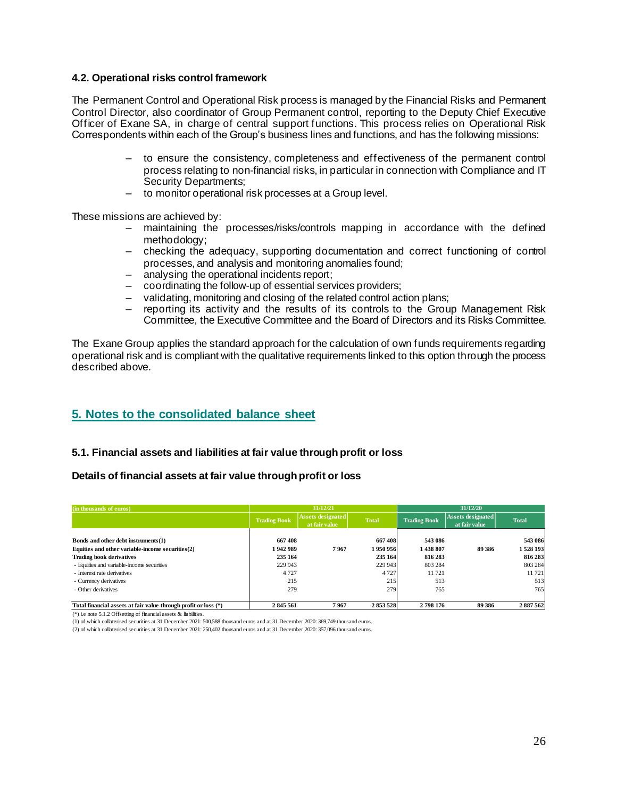#### **4.2. Operational risks control framework**

The Permanent Control and Operational Risk process is managed by the Financial Risks and Permanent Control Director, also coordinator of Group Permanent control, reporting to the Deputy Chief Executive Officer of Exane SA, in charge of central support functions. This process relies on Operational Risk Correspondents within each of the Group's business lines and functions, and has the following missions:

- to ensure the consistency, completeness and effectiveness of the permanent control process relating to non-financial risks, in particular in connection with Compliance and IT Security Departments;
- to monitor operational risk processes at a Group level.

These missions are achieved by:

- maintaining the processes/risks/controls mapping in accordance with the defined methodology;
- checking the adequacy, supporting documentation and correct functioning of control processes, and analysis and monitoring anomalies found;
- analysing the operational incidents report;
- coordinating the follow-up of essential services providers;
- validating, monitoring and closing of the related control action plans;
- reporting its activity and the results of its controls to the Group Management Risk Committee, the Executive Committee and the Board of Directors and its Risks Committee.

The Exane Group applies the standard approach for the calculation of own funds requirements regarding operational risk and is compliant with the qualitative requirements linked to this option through the process described above.

### **5. Notes to the consolidated balance sheet**

#### **5.1. Financial assets and liabilities at fair value through profit or loss**

#### **Details of financial assets at fair value through profit or loss**

| (in thousands of euros)                                         | 31/12/21            |                                           |              | 31/12/20            |                                           |              |
|-----------------------------------------------------------------|---------------------|-------------------------------------------|--------------|---------------------|-------------------------------------------|--------------|
|                                                                 | <b>Trading Book</b> | <b>Assets designated</b><br>at fair value | <b>Total</b> | <b>Trading Book</b> | <b>Assets designated</b><br>at fair value | <b>Total</b> |
| Bonds and other debt instruments(1)                             | 667 408             |                                           | 667408       | 543 086             |                                           | 543 086      |
| Equities and other variable-income securities(2)                | 1942989             | 7967                                      | 1950956      | 1438807             | 89 386                                    | 1 528 193    |
| <b>Trading book derivatives</b>                                 | 235 164             |                                           | 235 164      | 816 283             |                                           | 816 283      |
| - Equities and variable-income securities                       | 229 943             |                                           | 229 943      | 803 284             |                                           | 803 284      |
| - Interest rate derivatives                                     | 4 7 2 7             |                                           | 4 7 2 7      | 11721               |                                           | 11 721       |
| - Currency derivatives                                          | 215                 |                                           | 215          | 513                 |                                           | 513          |
| - Other derivatives                                             | 279                 |                                           | 279          | 765                 |                                           | 765          |
| Total financial assets at fair value through profit or loss (*) | 2845561             | 7967                                      | 2853528      | 2798176             | 89 386                                    | 2887562      |

(\*) i.e note 5.1.2 Offsetting of financial assets & liabilities.

(1) of which collaterised securities at 31 December 2021: 500,588 thousand euros and at 31 December 2020: 369,749 thousand euros.

(2) of which collaterised securities at 31 December 2021: 250,402 thousand euros and at 31 December 2020: 357,096 thousand euros.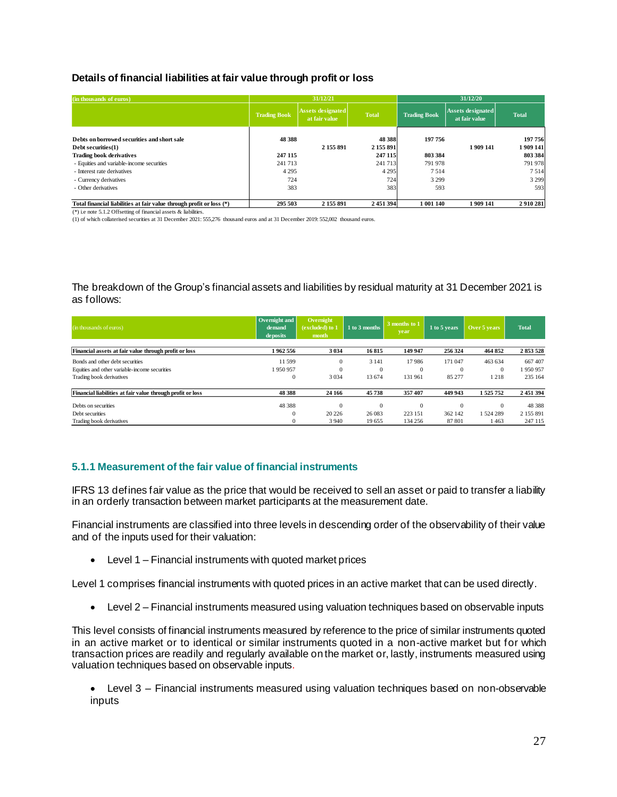#### **Details of financial liabilities at fair value through profit or loss**

| (in thousands of euros)                                              |                     | 31/12/21                                  |                      |                     | 31/12/20                                  |                    |
|----------------------------------------------------------------------|---------------------|-------------------------------------------|----------------------|---------------------|-------------------------------------------|--------------------|
|                                                                      | <b>Trading Book</b> | <b>Assets designated</b><br>at fair value | <b>Total</b>         | <b>Trading Book</b> | <b>Assets designated</b><br>at fair value | <b>Total</b>       |
| Debts on borrowed securities and short sale<br>Debt securities $(1)$ | 48 3 88             | 2 155 891                                 | 48 3 88<br>2 155 891 | 197756              | 1909141                                   | 197756<br>1909 141 |
| <b>Trading book derivatives</b>                                      | 247 115             |                                           | 247 115              | 803 384             |                                           | 803 384            |
| - Equities and variable-income securities                            | 241 713             |                                           | 241 713              | 791 978             |                                           | 791 978            |
| - Interest rate derivatives                                          | 4 2 9 5             |                                           | 4 2 9 5              | 7514                |                                           | 7514               |
| - Currency derivatives                                               | 724                 |                                           | 724                  | 3 2 9 9             |                                           | 3 2 9 9            |
| - Other derivatives                                                  | 383                 |                                           | 383                  | 593                 |                                           | 593                |
| Total financial liabilities at fair value through profit or loss (*) | 295 503             | 2 155 891                                 | 2 451 394            | 1 001 140           | 1909141                                   | 2910281            |

(\*) i.e note 5.1.2 Offsetting of financial assets & liabilities.

(1) of which collaterised securities at 31 December 2021: 555,276 thousand euros and at 31 December 2019: 552,002 thousand euros.

The breakdown of the Group's financial assets and liabilities by residual maturity at 31 December 2021 is as follows:

| (in thousands of euros)                                    | Overnight and<br>demand<br>deposits | Overnight<br>(excluded) to 1<br>month | 1 to 3 months | 3 months to 1<br>year | 1 to 5 years | Over 5 years | <b>Total</b> |
|------------------------------------------------------------|-------------------------------------|---------------------------------------|---------------|-----------------------|--------------|--------------|--------------|
| Financial assets at fair value through profit or loss      | 1962 556                            | 3 0 3 4                               | 16815         | 149 947               | 256 324      | 464 852      | 2853528      |
| Bonds and other debt securities                            | 11 599                              | $\mathbf{0}$                          | 3 1 4 1       | 17986                 | 171 047      | 463 634      | 667407       |
| Equities and other variable-income securities              | 1950957                             | $\mathbf{0}$                          | $\Omega$      |                       | $\Omega$     | $\Omega$     | 1950957      |
| Trading book derivatives                                   | $\Omega$                            | 3 0 3 4                               | 13 674        | 131 961               | 85 277       | 218          | 235 164      |
| Financial liabilities at fair value through profit or loss | 48 388                              | 24 16 6                               | 45738         | 357 407               | 449 943      | 1 525 752    | 2 451 394    |
| Debts on securities                                        | 48 388                              | $\mathbf{0}$                          | $\Omega$      |                       | $\Omega$     | $\mathbf{0}$ | 48 388       |
| Debt securities                                            | $\Omega$                            | 20 22 6                               | 26 083        | 223 151               | 362 142      | 524 289      | 2 155 891    |
| Trading book derivatives                                   | $\Omega$                            | 3 9 4 0                               | 19 655        | 134 256               | 87 801       | 1463         | 247 115      |

#### **5.1.1 Measurement of the fair value of financial instruments**

IFRS 13 defines fair value as the price that would be received to sell an asset or paid to transfer a liability in an orderly transaction between market participants at the measurement date.

Financial instruments are classified into three levels in descending order of the observability of their value and of the inputs used for their valuation:

• Level 1 – Financial instruments with quoted market prices

Level 1 comprises financial instruments with quoted prices in an active market that can be used directly.

• Level 2 – Financial instruments measured using valuation techniques based on observable inputs

This level consists of financial instruments measured by reference to the price of similar instruments quoted in an active market or to identical or similar instruments quoted in a non-active market but for which transaction prices are readily and regularly available on the market or, lastly, instruments measured using valuation techniques based on observable inputs.

• Level 3 – Financial instruments measured using valuation techniques based on non-observable inputs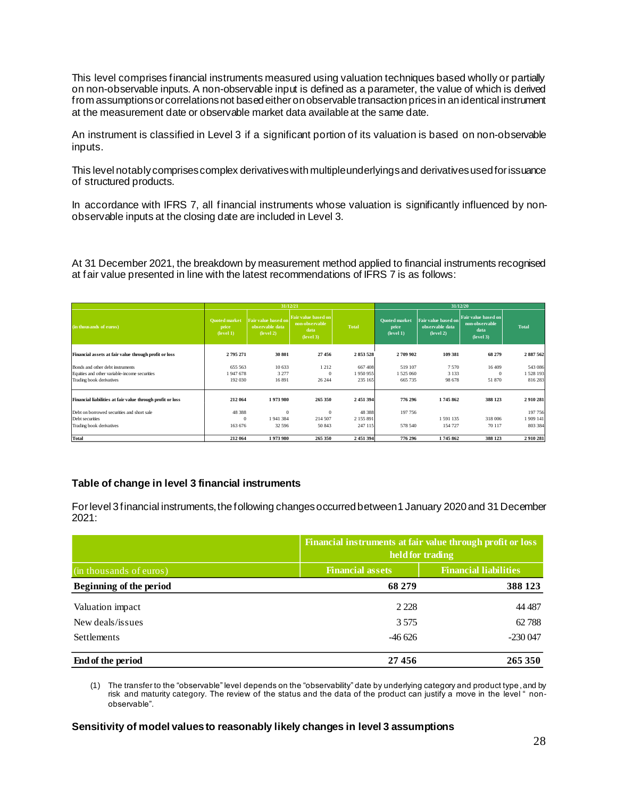This level comprises financial instruments measured using valuation techniques based wholly or partially on non-observable inputs. A non-observable input is defined as a parameter, the value of which is derived from assumptions or correlations not based either on observable transaction prices in an identical instrument at the measurement date or observable market data available at the same date.

An instrument is classified in Level 3 if a significant portion of its valuation is based on non-observable inputs.

This level notably comprises complex derivatives with multiple underlyingsand derivatives used for issuance of structured products.

In accordance with IFRS 7, all financial instruments whose valuation is significantly influenced by nonobservable inputs at the closing date are included in Level 3.

At 31 December 2021, the breakdown by measurement method applied to financial instruments recognised at fair value presented in line with the latest recommendations of IFRS 7 is as follows:

|                                                            |                                            |                                                     | 31/12/20<br>31/12/21                                       |              |                                            |                                                     |                                                            |              |
|------------------------------------------------------------|--------------------------------------------|-----------------------------------------------------|------------------------------------------------------------|--------------|--------------------------------------------|-----------------------------------------------------|------------------------------------------------------------|--------------|
| (in thousands of euros)                                    | <b>Quoted market</b><br>price<br>(level 1) | Fair value based on<br>observable data<br>(level 2) | Fair value based on<br>non-observable<br>data<br>(level 3) | <b>Total</b> | <b>Ouoted</b> market<br>price<br>(level 1) | Fair value based on<br>observable data<br>(level 2) | Fair value based on<br>non-observable<br>data<br>(level 3) | <b>Total</b> |
| Financial assets at fair value through profit or loss      | 2795271                                    | 30 801                                              | 27456                                                      | 2853528      | 2709902                                    | 109 381                                             | 68 279                                                     | 2887562      |
| Bonds and other debt instruments                           | 655 563                                    | 10 633                                              | 1212                                                       | 667408       | 519 107                                    | 7570                                                | 16 409                                                     | 543 086      |
| Equities and other variable-income securities              | 1947678                                    | 3 2 7 7                                             | $\mathbf{0}$                                               | 1950955      | 1 525 060                                  | 3 1 3 3                                             | $\mathbf{0}$                                               | 1528 193     |
| Trading book derivatives                                   | 192 030                                    | 16891                                               | 26 244                                                     | 235 165      | 665 735                                    | 98 678                                              | 51 870                                                     | 816 283      |
| Financial liabilities at fair value through profit or loss | 212 064                                    | 1973980                                             | 265 350                                                    | 2 451 394    | 776 296                                    | 1745862                                             | 388 123                                                    | 2910281      |
| Debt on borrowed securities and short sale                 | 48 388                                     | $\Omega$                                            | $\mathbf{0}$                                               | 48 3 8 8     | 197756                                     |                                                     |                                                            | 197 756      |
| Debt securities                                            | $\Omega$                                   | 1941384                                             | 214 507                                                    | 2 155 891    |                                            | 1591135                                             | 318 006                                                    | 1 909 141    |
| Trading book derivatives                                   | 163 676                                    | 32 596                                              | 50 843                                                     | 247 115      | 578 540                                    | 154 727                                             | 70 117                                                     | 803 384      |
| Total                                                      | 212 064                                    | 1973980                                             | 265 350                                                    | 2 451 394    | 776 296                                    | 1745862                                             | 388 123                                                    | 2910281      |

#### **Table of change in level 3 financial instruments**

For level 3 financial instruments, the following changesoccurred between 1 January 2020and 31 December 2021:

|                         |                         | Financial instruments at fair value through profit or loss<br>held for trading |  |  |  |  |
|-------------------------|-------------------------|--------------------------------------------------------------------------------|--|--|--|--|
| (in thousands of euros) | <b>Financial assets</b> | <b>Financial liabilities</b>                                                   |  |  |  |  |
| Beginning of the period | 68 279                  | 388 123                                                                        |  |  |  |  |
| Valuation impact        | 2 2 2 8                 | 44 4 87                                                                        |  |  |  |  |
| New deals/issues        | 3.575                   | 62788                                                                          |  |  |  |  |
| <b>Settlements</b>      | $-46626$                | $-230047$                                                                      |  |  |  |  |
| End of the period       | 27456                   | 265 350                                                                        |  |  |  |  |

(1) The transfer to the "observable" level depends on the "observability" date by underlying category and product type,and by risk and maturity category. The review of the status and the data of the product can justify a move in the level " nonobservable".

**Sensitivity of model values to reasonably likely changes in level 3 assumptions**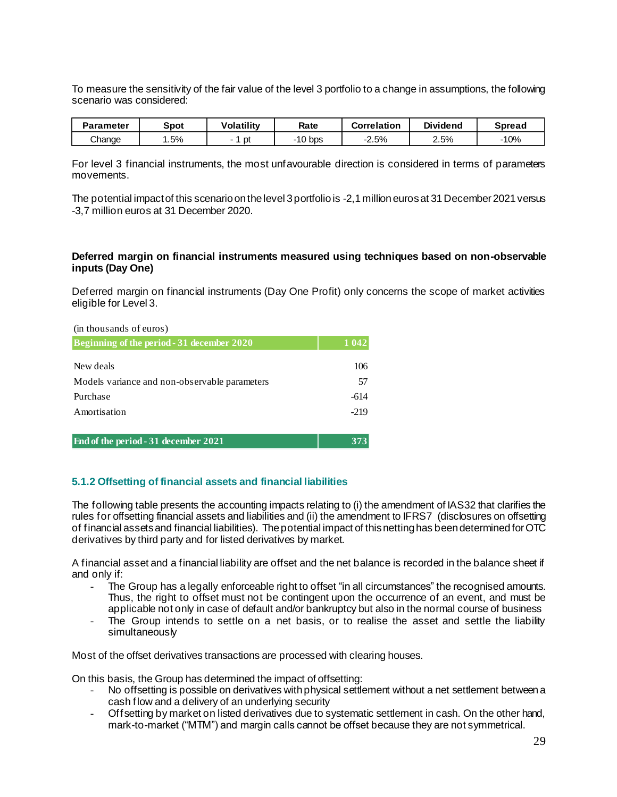To measure the sensitivity of the fair value of the level 3 portfolio to a change in assumptions, the following scenario was considered:

| Parameter | Spot | <b>Volatility</b> | Rate      | <b>Correlation</b> | <b>Dividend</b> | Spread |
|-----------|------|-------------------|-----------|--------------------|-----------------|--------|
| Change    | .5%  | рt                | $-10$ bps | $-2.5%$            | 2.5%            | 10%    |

For level 3 financial instruments, the most unfavourable direction is considered in terms of parameters movements.

The potential impact of this scenario on the level 3 portfolio is -2,1 million euros at 31 December 2021 versus -3,7 million euros at 31 December 2020.

#### **Deferred margin on financial instruments measured using techniques based on non-observable inputs (Day One)**

Deferred margin on financial instruments (Day One Profit) only concerns the scope of market activities eligible for Level 3.

| (in thousands of euros)                       |         |
|-----------------------------------------------|---------|
| Beginning of the period - 31 december 2020    | 1 0 4 2 |
|                                               |         |
| New deals                                     | 106     |
| Models variance and non-observable parameters | 57      |
| Purchase                                      | -614    |
| Amortisation                                  | $-219$  |
|                                               |         |
| <b>End of the period - 31 december 2021</b>   | 373     |

#### **5.1.2 Offsetting of financial assets and financial liabilities**

The following table presents the accounting impacts relating to (i) the amendment of IAS32 that clarifies the rules for offsetting financial assets and liabilities and (ii) the amendment to IFRS7 (disclosures on offsetting of financial assets and financial liabilities). The potential impact of this netting has been determined for OTC derivatives by third party and for listed derivatives by market.

A financial asset and a financial liability are offset and the net balance is recorded in the balance sheet if and only if:

- The Group has a legally enforceable right to offset "in all circumstances" the recognised amounts. Thus, the right to offset must not be contingent upon the occurrence of an event, and must be applicable not only in case of default and/or bankruptcy but also in the normal course of business
- The Group intends to settle on a net basis, or to realise the asset and settle the liability simultaneously

Most of the offset derivatives transactions are processed with clearing houses.

On this basis, the Group has determined the impact of offsetting:

- No offsetting is possible on derivatives with physical settlement without a net settlement between a cash flow and a delivery of an underlying security
- Off setting by market on listed derivatives due to systematic settlement in cash. On the other hand, mark-to-market ("MTM") and margin calls cannot be offset because they are not symmetrical.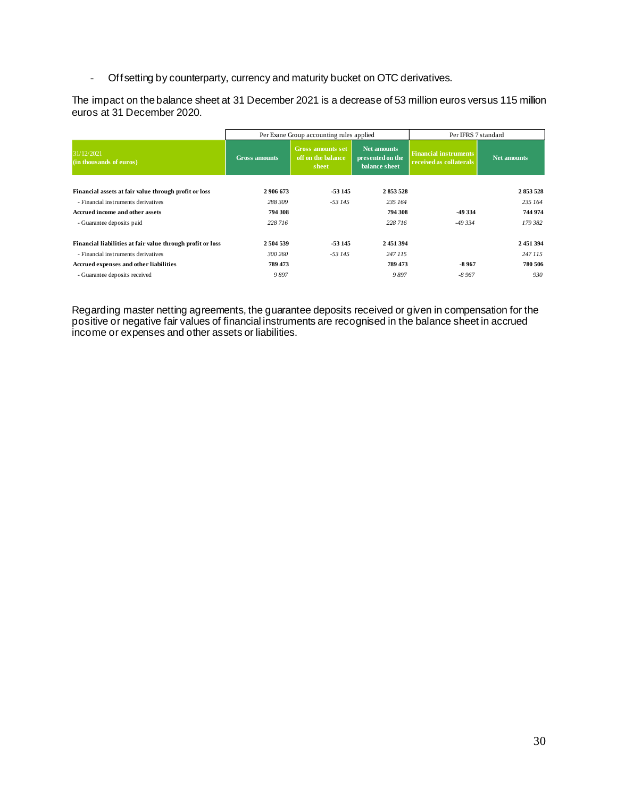- Offsetting by counterparty, currency and maturity bucket on OTC derivatives.

The impact on the balance sheet at 31 December 2021 is a decrease of 53 million euros versus 115 million euros at 31 December 2020.

|                                                            | Per Exane Group accounting rules applied |                                                         | Per IFRS 7 standard                              |                                                         |             |
|------------------------------------------------------------|------------------------------------------|---------------------------------------------------------|--------------------------------------------------|---------------------------------------------------------|-------------|
| 31/12/2021<br>(in thousands of euros)                      | <b>Gross amounts</b>                     | <b>Gross amounts set</b><br>off on the balance<br>sheet | Net amounts<br>presented on the<br>balance sheet | <b>Financial instruments</b><br>received as collaterals | Net amounts |
| Financial assets at fair value through profit or loss      | 2 906 673                                | $-53145$                                                | 2853528                                          |                                                         | 2853528     |
| - Financial instruments derivatives                        | 288 309                                  | $-53145$                                                | 235 164                                          |                                                         | 235 164     |
| <b>Accrued income and other assets</b>                     | 794 308                                  |                                                         | 794 308                                          | -49 334                                                 | 744 974     |
| - Guarantee deposits paid                                  | 228 716                                  |                                                         | 228 716                                          | $-49334$                                                | 179 382     |
| Financial liabilities at fair value through profit or loss | 2 504 539                                | -53 145                                                 | 2 451 394                                        |                                                         | 2451394     |
| - Financial instruments derivatives                        | 300 260                                  | $-53145$                                                | 247 115                                          |                                                         | 247 115     |
| Accrued expenses and other liabilities                     | 789 473                                  |                                                         | 789 473                                          | $-8967$                                                 | 780 506     |
| - Guarantee deposits received                              | 9897                                     |                                                         | 9897                                             | $-8967$                                                 | 930         |

Regarding master netting agreements, the guarantee deposits received or given in compensation for the positive or negative fair values of financial instruments are recognised in the balance sheet in accrued income or expenses and other assets or liabilities.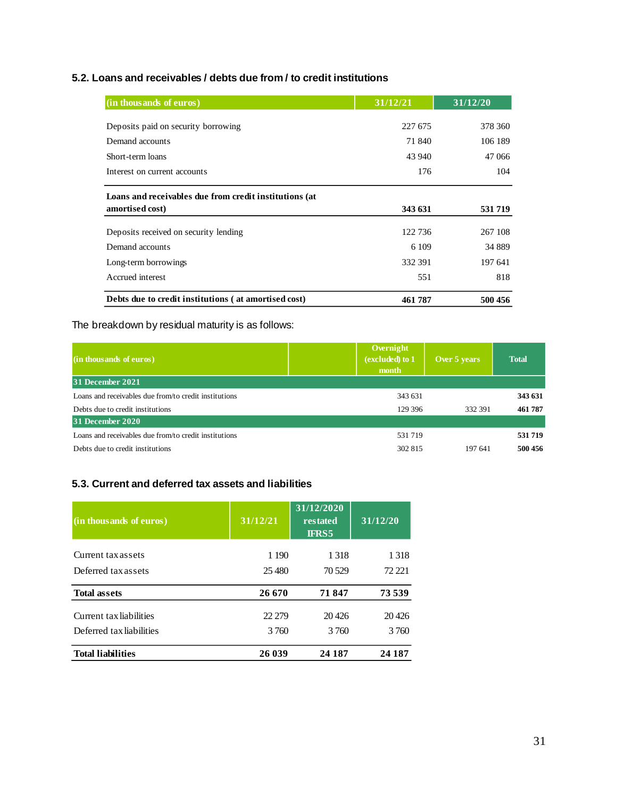#### **5.2. Loans and receivables / debts due from / to credit institutions**

| (in thousands of euros)                                                   | 31/12/21 | 31/12/20 |
|---------------------------------------------------------------------------|----------|----------|
| Deposits paid on security borrowing                                       | 227 675  | 378 360  |
| Demand accounts                                                           | 71 840   | 106 189  |
| Short-term loans                                                          | 43 940   | 47 066   |
| Interest on current accounts                                              | 176      | 104      |
| Loans and receivables due from credit institutions (at<br>amortised cost) | 343 631  | 531 719  |
|                                                                           |          |          |
| Deposits received on security lending                                     | 122 736  | 267 108  |
| Demand accounts                                                           | 6 1 0 9  | 34 889   |
| Long-term borrowings                                                      | 332 391  | 197 641  |
| Accrued interest                                                          | 551      | 818      |
| Debts due to credit institutions (at amortised cost)                      | 461787   | 500 456  |

### The breakdown by residual maturity is as follows:

| (in thousands of euros)                               | Overnight<br>(excluded) to 1<br>month | Over 5 years | <b>Total</b> |
|-------------------------------------------------------|---------------------------------------|--------------|--------------|
| 31 December 2021                                      |                                       |              |              |
| Loans and receivables due from/to credit institutions | 343 631                               |              | 343 631      |
| Debts due to credit institutions                      | 129 396                               | 332 391      | 461 787      |
| 31 December 2020                                      |                                       |              |              |
| Loans and receivables due from/to credit institutions | 531 719                               |              | 531 719      |
| Debts due to credit institutions                      | 302 815                               | 197 641      | 500 456      |

### **5.3. Current and deferred tax assets and liabilities**

| (in thousands of euros)  | 31/12/21 | 31/12/2020<br>restated<br><b>IFRS5</b> | 31/12/20 |
|--------------------------|----------|----------------------------------------|----------|
| Current tax assets       | 1 1 9 0  | 1 3 1 8                                | 1 3 1 8  |
| Deferred tax assets      | 25,480   | 70 529                                 | 72 221   |
| <b>Total assets</b>      | 26 670   | 71847                                  | 73 539   |
| Current tax liabilities  | 22 279   | 20426                                  | 20426    |
| Deferred tax liabilities | 3760     | 3.760                                  | 3760     |
| <b>Total liabilities</b> | 26 039   | 24 187                                 | 24 187   |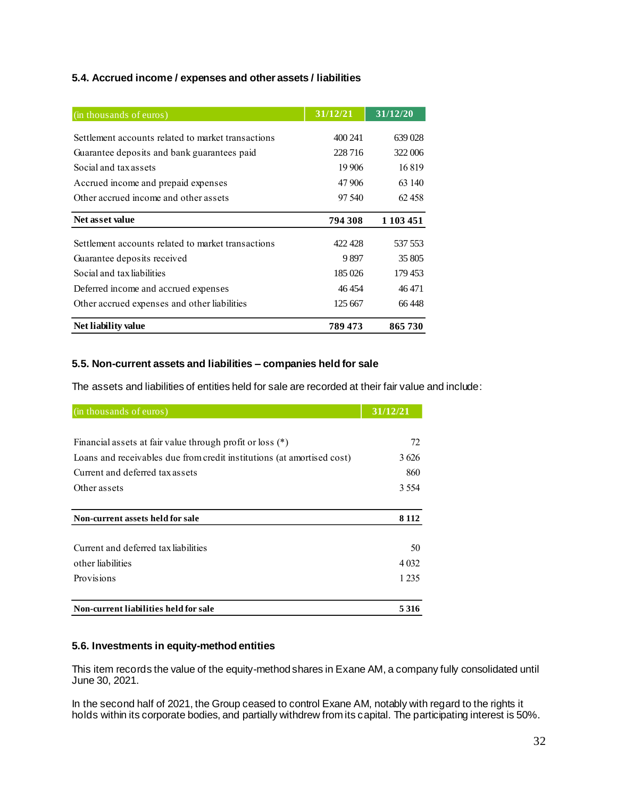#### **5.4. Accrued income / expenses and other assets / liabilities**

| (in thousands of euros)                            | 31/12/21 | 31/12/20  |
|----------------------------------------------------|----------|-----------|
|                                                    |          |           |
| Settlement accounts related to market transactions | 400 241  | 639 028   |
| Guarantee deposits and bank guarantees paid        | 228 716  | 322 006   |
| Social and tax assets                              | 19 906   | 16819     |
| Accrued income and prepaid expenses                | 47 906   | 63 140    |
| Other accrued income and other assets              | 97 540   | 62458     |
| Net asset value                                    | 794 308  | 1 103 451 |
| Settlement accounts related to market transactions | 422428   | 537 553   |
|                                                    |          |           |
| Guarantee deposits received                        | 9897     | 35 805    |
| Social and tax liabilities                         | 185 026  | 179453    |
| Deferred income and accrued expenses               | 46454    | 46471     |
| Other accrued expenses and other liabilities       | 125 667  | 66448     |
| Net liability value                                | 789 473  | 865730    |

#### **5.5. Non-current assets and liabilities – companies held for sale**

The assets and liabilities of entities held for sale are recorded at their fair value and include:

| (in thousands of euros)                                                | 31/12/21 |
|------------------------------------------------------------------------|----------|
|                                                                        |          |
| Financial assets at fair value through profit or loss $(*)$            | 72       |
| Loans and receivables due from credit institutions (at amortised cost) | 3626     |
| Current and deferred tax assets                                        | 860      |
| Other assets                                                           | 3 5 5 4  |
|                                                                        |          |
| Non-current assets held for sale                                       | 8 1 1 2  |
| Current and deferred tax liabilities                                   | 50       |
| other liabilities                                                      | 4 0 3 2  |
| Provisions                                                             | 1 2 3 5  |
| Non-current liabilities held for sale                                  | 5316     |

#### **5.6. Investments in equity-method entities**

This item records the value of the equity-method shares in Exane AM, a company fully consolidated until June 30, 2021.

In the second half of 2021, the Group ceased to control Exane AM, notably with regard to the rights it holds within its corporate bodies, and partially withdrew from its capital. The participating interest is 50%.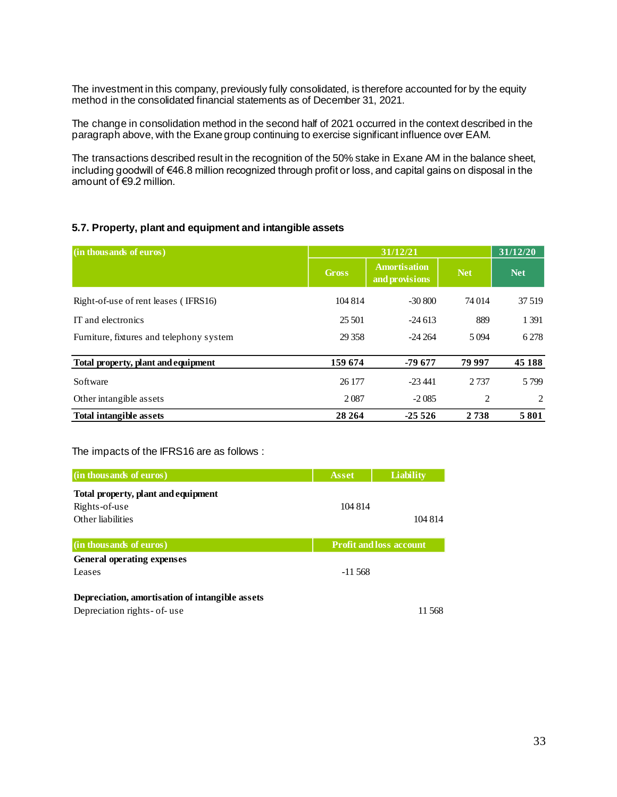The investment in this company, previously fully consolidated, is therefore accounted for by the equity method in the consolidated financial statements as of December 31, 2021.

The change in consolidation method in the second half of 2021 occurred in the context described in the paragraph above, with the Exane group continuing to exercise significant influence over EAM.

The transactions described result in the recognition of the 50% stake in Exane AM in the balance sheet, including goodwill of €46.8 million recognized through profit or loss, and capital gains on disposal in the amount of €9.2 million.

#### **5.7. Property, plant and equipment and intangible assets**

| (in thousands of euros)                  | 31/12/21     |                                       |            |            |
|------------------------------------------|--------------|---------------------------------------|------------|------------|
|                                          | <b>Gross</b> | <b>Amortisation</b><br>and provisions | <b>Net</b> | <b>Net</b> |
| Right-of-use of rent leases (IFRS16)     | 104 814      | $-30800$                              | 74 014     | 37 519     |
| IT and electronics                       | 25 501       | $-24613$                              | 889        | 1 3 9 1    |
| Furniture, fixtures and telephony system | 29 3 58      | $-24264$                              | 5 0 9 4    | 6 2 7 8    |
| Total property, plant and equipment      | 159 674      | -79 677                               | 79 997     | 45 188     |
| Software                                 | 26 177       | $-23,441$                             | 2 7 3 7    | 5799       |
| Other intangible assets                  | 2087         | $-2085$                               | 2          | 2          |
| <b>Total intangible assets</b>           | 28 264       | $-25526$                              | 2738       | 5801       |

#### The impacts of the IFRS16 are as follows :

| (in thousands of euros)                         | <b>Asset</b> | <b>Liability</b>               |
|-------------------------------------------------|--------------|--------------------------------|
| Total property, plant and equipment             |              |                                |
| Rights-of-use                                   | 104 814      |                                |
| Other liabilities                               |              | 104 814                        |
|                                                 |              |                                |
| (in thousands of euros)                         |              | <b>Profit and loss account</b> |
| <b>General operating expenses</b>               |              |                                |
| Leases                                          | $-11,568$    |                                |
| Depreciation, amortisation of intangible assets |              |                                |
|                                                 |              |                                |
| Depreciation rights- of-use                     |              | 11 568                         |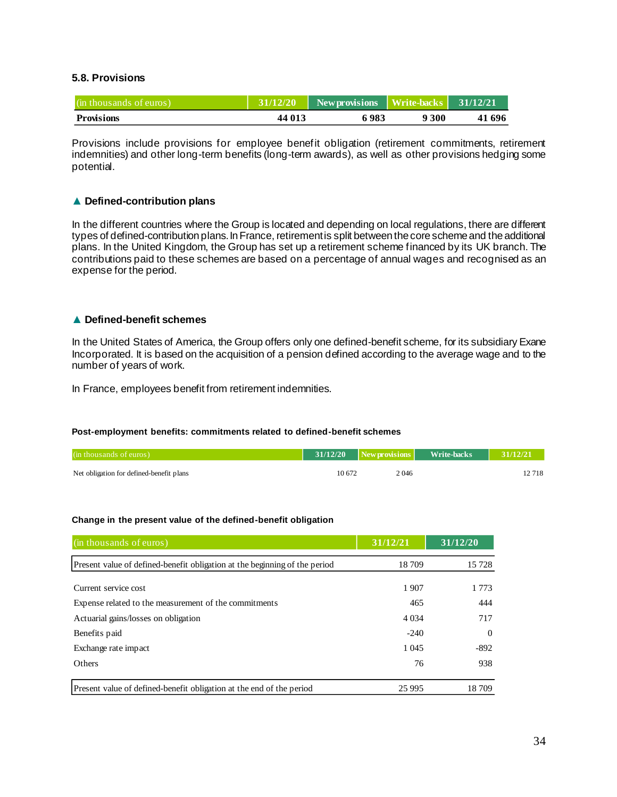#### **5.8. Provisions**

| (in thousands of euros) | 131/12/20 | New provisions Write-backs |       | 31/12/21 |
|-------------------------|-----------|----------------------------|-------|----------|
| <b>Provisions</b>       | 44 013    | 6983                       | 9 300 | 41 696   |

Provisions include provisions for employee benefit obligation (retirement commitments, retirement indemnities) and other long-term benefits (long-term awards), as well as other provisions hedging some potential.

#### ▲ **Defined-contribution plans**

In the different countries where the Group is located and depending on local regulations, there are different types of defined-contribution plans. In France, retirement is split between the core scheme and the additional plans. In the United Kingdom, the Group has set up a retirement scheme financed by its UK branch. The contributions paid to these schemes are based on a percentage of annual wages and recognised as an expense for the period.

#### ▲ **Defined-benefit schemes**

In the United States of America, the Group offers only one defined-benefit scheme, for its subsidiary Exane Incorporated. It is based on the acquisition of a pension defined according to the average wage and to the number of years of work.

In France, employees benefit from retirement indemnities.

#### **Post-employment benefits: commitments related to defined-benefit schemes**

| (in thousands of euros)                  | 31/12/20 | New provisions | Write-backs | 31/12/21 |
|------------------------------------------|----------|----------------|-------------|----------|
| Net obligation for defined-benefit plans | 10.672   | 2 046          |             | 2 718    |

#### **Change in the present value of the defined-benefit obligation**

| (in thousands of euros)                                                    | 31/12/21 | 31/12/20 |
|----------------------------------------------------------------------------|----------|----------|
| Present value of defined-benefit obligation at the beginning of the period | 18709    | 15728    |
| Current service cost                                                       | 1907     | 1 7 7 3  |
| Expense related to the measurement of the commitments                      | 465      | 444      |
| Actuarial gains/losses on obligation                                       | 4 0 34   | 717      |
| Benefits paid                                                              | $-240$   | $\Omega$ |
| Exchange rate impact                                                       | 1 0 4 5  | $-892$   |
| <b>Others</b>                                                              | 76       | 938      |
| Present value of defined-benefit obligation at the end of the period       | 25 9 95  | 18709    |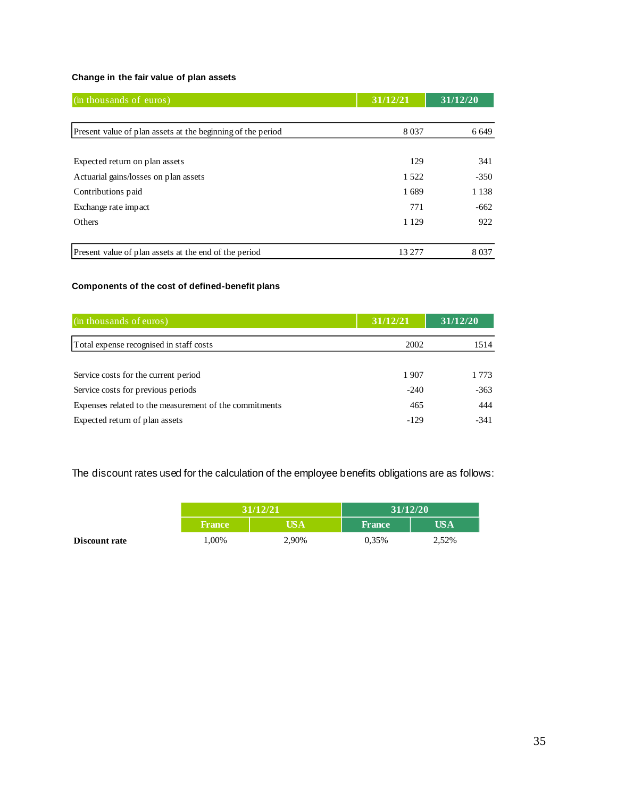#### **Change in the fair value of plan assets**

| (in thousands of euros)                                     | 31/12/21 | 31/12/20 |
|-------------------------------------------------------------|----------|----------|
|                                                             |          |          |
| Present value of plan assets at the beginning of the period | 8 0 3 7  | 6 6 4 9  |
|                                                             |          |          |
| Expected return on plan assets                              | 129      | 341      |
| Actuarial gains/losses on plan assets                       | 1 5 2 2  | $-350$   |
| Contributions paid                                          | 1689     | 1 1 3 8  |
| Exchange rate impact                                        | 771      | $-662$   |
| <b>Others</b>                                               | 1 1 2 9  | 922      |
|                                                             |          |          |
| Present value of plan assets at the end of the period       | 13 277   | 8 0 3 7  |

### **Components of the cost of defined-benefit plans**

| (in thousands of euros)                                | 31/12/21 | 31/12/20 |
|--------------------------------------------------------|----------|----------|
| Total expense recognised in staff costs                | 2002     | 1514     |
|                                                        |          |          |
| Service costs for the current period                   | 1907     | 1 773    |
| Service costs for previous periods                     | $-240$   | $-363$   |
| Expenses related to the measurement of the commitments | 465      | 444      |
| Expected return of plan assets                         | $-129$   | $-341$   |

The discount rates used for the calculation of the employee benefits obligations are as follows:

|                      | 31/12/21      |       | 31/12/20      |       |
|----------------------|---------------|-------|---------------|-------|
|                      | <b>France</b> | USA   | <b>France</b> | US A  |
| <b>Discount rate</b> | .00%          | 2,90% | 0.35%         | 2,52% |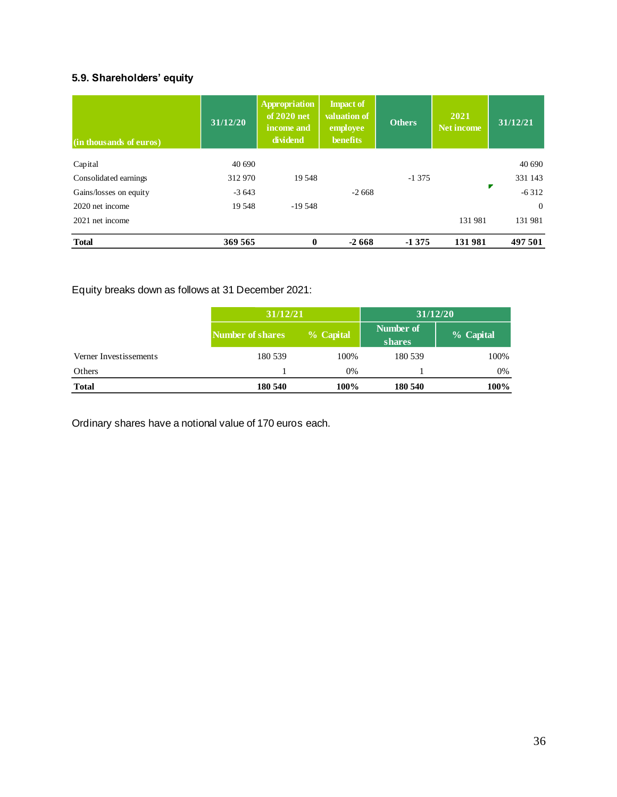### **5.9. Shareholders' equity**

| (in thousands of euros) | 31/12/20 | <b>Appropriation</b><br>of 2020 net<br>income and<br>dividend | <b>Impact of</b><br>valuation of<br>employee<br><b>benefits</b> | <b>Others</b> | 2021<br>Net income | 31/12/21       |
|-------------------------|----------|---------------------------------------------------------------|-----------------------------------------------------------------|---------------|--------------------|----------------|
| Capital                 | 40 690   |                                                               |                                                                 |               |                    | 40 690         |
| Consolidated earnings   | 312 970  | 19.548                                                        |                                                                 | $-1375$       |                    | 331 143        |
| Gains/losses on equity  | $-3643$  |                                                               | $-2668$                                                         |               |                    | $-6312$        |
| 2020 net income         | 19548    | $-19548$                                                      |                                                                 |               |                    | $\overline{0}$ |
| 2021 net income         |          |                                                               |                                                                 |               | 131 981            | 131 981        |
| <b>Total</b>            | 369 565  | $\bf{0}$                                                      | $-2668$                                                         | $-1375$       | 131981             | 497 501        |

### Equity breaks down as follows at 31 December 2021:

|                        |                  | 31/12/21  |                     | 31/12/20  |
|------------------------|------------------|-----------|---------------------|-----------|
|                        | Number of shares | % Capital | Number of<br>shares | % Capital |
| Verner Investissements | 180 539          | 100%      | 180 539             | 100%      |
| Others                 |                  | 0%        |                     | 0%        |
| <b>Total</b>           | 180 540          | 100%      | 180 540             | 100%      |

Ordinary shares have a notional value of 170 euros each.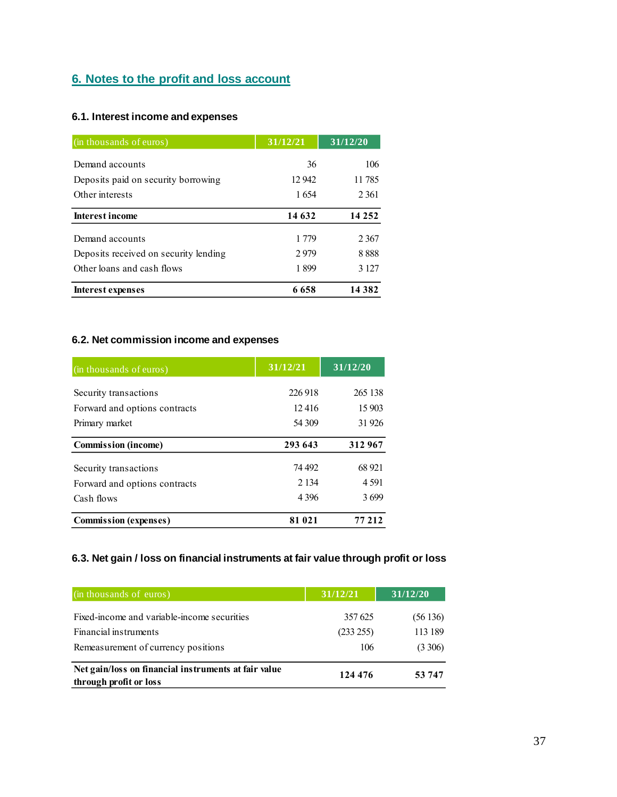### **6. Notes to the profit and loss account**

### **6.1. Interest income and expenses**

| (in thousands of euros)               | 31/12/21 | 31/12/20 |
|---------------------------------------|----------|----------|
| Demand accounts                       | 36       | 106      |
| Deposits paid on security borrowing   | 12 942   | 11 785   |
| Other interests                       | 1654     | 2 3 6 1  |
| <b>Interest income</b>                | 14 632   | 14 2 5 2 |
| Demand accounts                       | 1 779    | 2 3 6 7  |
| Deposits received on security lending | 2979     | 8888     |
| Other loans and cash flows            | 1899     | 3 1 2 7  |
| Interest expenses                     | 6658     | 14 3 8 2 |

### **6.2. Net commission income and expenses**

| (in thousands of euros)       | 31/12/21           | 31/12/20 |  |
|-------------------------------|--------------------|----------|--|
|                               | 226 918            | 265 138  |  |
| Security transactions         |                    |          |  |
| Forward and options contracts | 12.416             | 15 903   |  |
| Primary market                | 31 926<br>54 309   |          |  |
| <b>Commission</b> (income)    | 293 643            | 312967   |  |
| Security transactions         | 74 492             | 68 921   |  |
| Forward and options contracts | 2 1 3 4<br>4 5 9 1 |          |  |
| Cash flows                    | 4 3 9 6<br>3699    |          |  |
| <b>Commission (expenses)</b>  | 81 021             | 77 212   |  |

### **6.3. Net gain / loss on financial instruments at fair value through profit or loss**

| (in thousands of euros)                                                        | 31/12/21  | 31/12/20 |
|--------------------------------------------------------------------------------|-----------|----------|
| Fixed-income and variable-income securities                                    | 357625    | (56136)  |
| Financial instruments                                                          | (233 255) | 113 189  |
| Remeasurement of currency positions                                            | 106       | (3306)   |
| Net gain/loss on financial instruments at fair value<br>through profit or loss | 124 476   | 53 747   |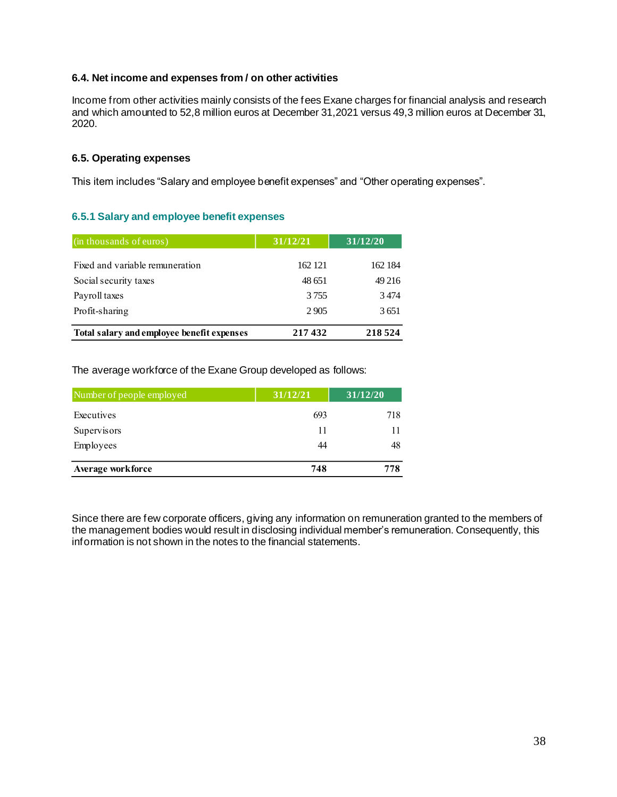#### **6.4. Net income and expenses from / on other activities**

Income from other activities mainly consists of the fees Exane charges for financial analysis and research and which amounted to 52,8 million euros at December 31,2021 versus 49,3 million euros at December 31, 2020.

#### **6.5. Operating expenses**

This item includes "Salary and employee benefit expenses" and "Other operating expenses".

#### **6.5.1 Salary and employee benefit expenses**

| (in thousands of euros)                    | 31/12/21 |         |
|--------------------------------------------|----------|---------|
| Fixed and variable remuneration            | 162 121  | 162 184 |
| Social security taxes                      | 48 651   | 49 216  |
| Payroll taxes                              | 3755     | 3474    |
| Profit-sharing                             | 2905     | 3651    |
| Total salary and employee benefit expenses | 217432   | 218 524 |

The average workforce of the Exane Group developed as follows:

| Number of people employed | 31/12/21 | 31/12/20 |
|---------------------------|----------|----------|
| Executives                | 693      | 718      |
| Supervisors               | 11       |          |
| Employees                 | 44       | 48       |
| Average workforce         | 748      | 778      |

Since there are few corporate officers, giving any information on remuneration granted to the members of the management bodies would result in disclosing individual member's remuneration. Consequently, this information is not shown in the notes to the financial statements.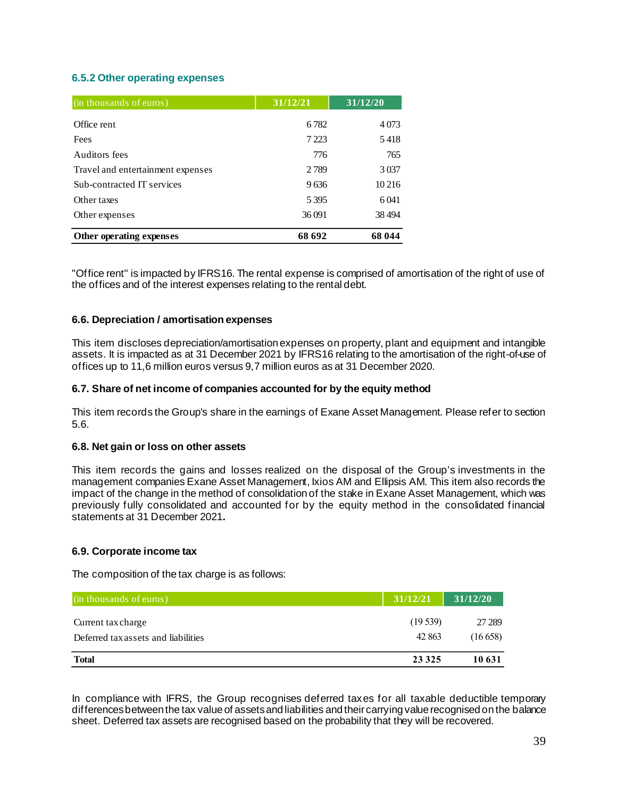#### **6.5.2 Other operating expenses**

| (in thousands of euros)           | 31/12/21 | 31/12/20 |
|-----------------------------------|----------|----------|
| Office rent                       | 6782     | 4073     |
| Fees                              | 7 2 2 3  | 5418     |
| Auditors fees                     | 776      | 765      |
| Travel and entertainment expenses | 2789     | 3 0 3 7  |
| Sub-contracted IT services        | 9636     | 10 21 6  |
| Other taxes                       | 5395     | 6041     |
| Other expenses                    | 36 091   | 38494    |
| Other operating expenses          | 68 692   | 68 044   |

"Office rent" is impacted by IFRS16. The rental expense is comprised of amortisation of the right of use of the offices and of the interest expenses relating to the rental debt.

#### **6.6. Depreciation / amortisation expenses**

This item discloses depreciation/amortisation expenses on property, plant and equipment and intangible assets. It is impacted as at 31 December 2021 by IFRS16 relating to the amortisation of the right-of-use of offices up to 11,6 million euros versus 9,7 million euros as at 31 December 2020.

#### **6.7. Share of net income of companies accounted for by the equity method**

This item records the Group's share in the earnings of Exane Asset Management. Please refer to section 5.6.

#### **6.8. Net gain or loss on other assets**

This item records the gains and losses realized on the disposal of the Group's investments in the management companies Exane Asset Management, Ixios AM and Ellipsis AM. This item also records the impact of the change in the method of consolidation of the stake in Exane Asset Management, which was previously fully consolidated and accounted for by the equity method in the consolidated financial statements at 31 December 2021**.**

#### **6.9. Corporate income tax**

The composition of the tax charge is as follows:

| (in thousands of euros)             | 31/12/21 | 31/12/20 |
|-------------------------------------|----------|----------|
| Current tax charge                  | (19539)  | 27 289   |
| Deferred tax assets and liabilities | 42 863   | (16658)  |
| <b>Total</b>                        | 23 3 25  | 10 631   |

In compliance with IFRS, the Group recognises deferred taxes for all taxable deductible temporary differences between the tax value of assets and liabilities and their carrying value recognised on the balance sheet. Deferred tax assets are recognised based on the probability that they will be recovered.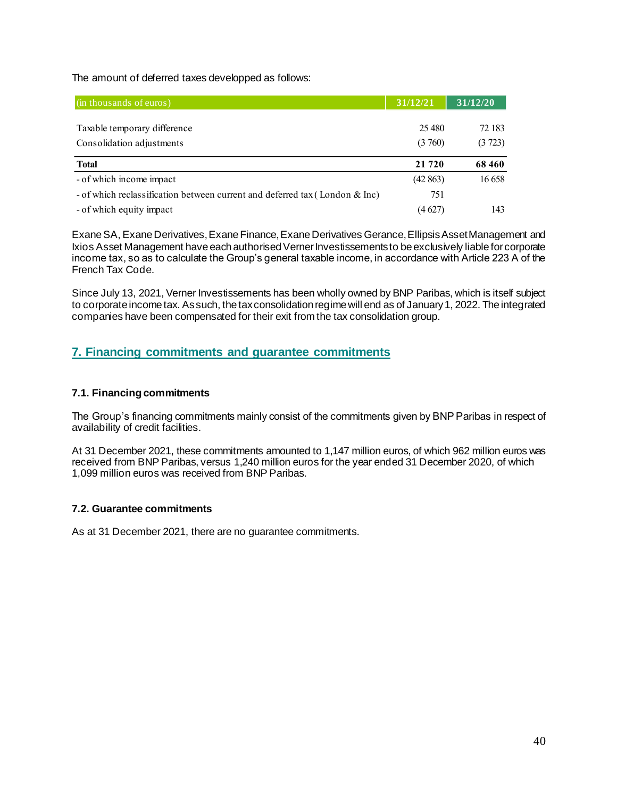The amount of deferred taxes developped as follows:

| (in thousands of euros)                                                     | 31/12/21 | 31/12/20 |
|-----------------------------------------------------------------------------|----------|----------|
|                                                                             |          |          |
| Taxable temporary difference                                                | 25,480   | 72 183   |
| Consolidation adjustments                                                   | (3760)   | (3723)   |
| <b>Total</b>                                                                | 21 720   | 68460    |
| - of which income impact                                                    | (42863)  | 16 658   |
| - of which reclassification between current and deferred tax (London & Inc) | 751      |          |
| - of which equity impact                                                    | (4 627)  | 143      |

Exane SA, Exane Derivatives, Exane Finance, Exane Derivatives Gerance, Ellipsis Asset Management and Ixios Asset Management have each authorised Verner Investissements to be exclusively liable for corporate income tax, so as to calculate the Group's general taxable income, in accordance with Article 223 A of the French Tax Code.

Since July 13, 2021, Verner Investissements has been wholly owned by BNP Paribas, which is itself subject to corporate income tax. As such, the tax consolidation regime will end as of January 1, 2022. The integrated companies have been compensated for their exit from the tax consolidation group.

### **7. Financing commitments and guarantee commitments**

#### **7.1. Financing commitments**

The Group's financing commitments mainly consist of the commitments given by BNP Paribas in respect of availability of credit facilities.

At 31 December 2021, these commitments amounted to 1,147 million euros, of which 962 million euros was received from BNP Paribas, versus 1,240 million euros for the year ended 31 December 2020, of which 1,099 million euros was received from BNP Paribas.

#### **7.2. Guarantee commitments**

As at 31 December 2021, there are no guarantee commitments.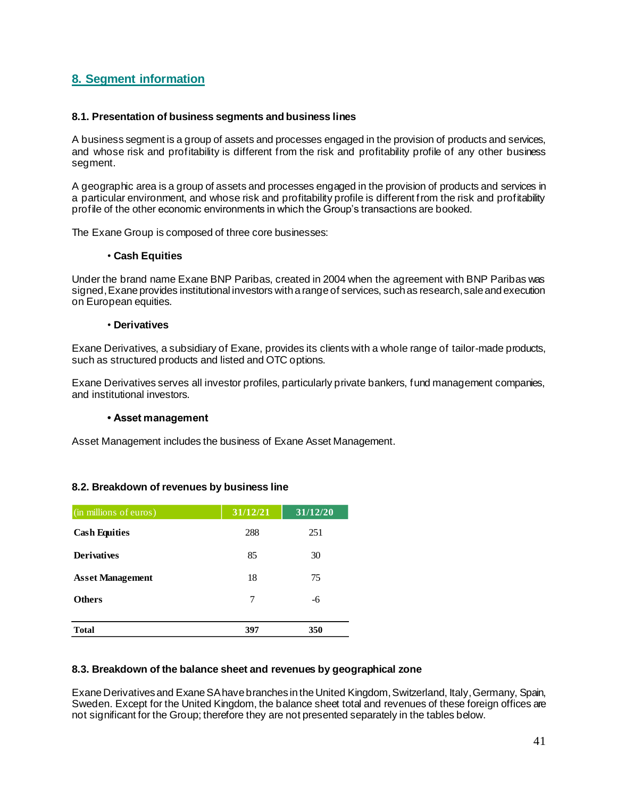### **8. Segment information**

#### **8.1. Presentation of business segments and business lines**

A business segment is a group of assets and processes engaged in the provision of products and services, and whose risk and profitability is different from the risk and profitability profile of any other business segment.

A geographic area is a group of assets and processes engaged in the provision of products and services in a particular environment, and whose risk and profitability profile is different from the risk and profitability profile of the other economic environments in which the Group's transactions are booked.

The Exane Group is composed of three core businesses:

#### • **Cash Equities**

Under the brand name Exane BNP Paribas, created in 2004 when the agreement with BNP Paribas was signed, Exane provides institutional investors with a range of services, such as research, sale and execution on European equities.

#### • **Derivatives**

Exane Derivatives, a subsidiary of Exane, provides its clients with a whole range of tailor-made products, such as structured products and listed and OTC options.

Exane Derivatives serves all investor profiles, particularly private bankers, fund management companies, and institutional investors.

#### **• Asset management**

Asset Management includes the business of Exane Asset Management.

#### **8.2. Breakdown of revenues by business line**

| (in millions of euros)  | 31/12/21 | 31/12/20 |
|-------------------------|----------|----------|
| <b>Cash Equities</b>    | 288      | 251      |
| <b>Derivatives</b>      | 85       | 30       |
| <b>Asset Management</b> | 18       | 75       |
| <b>Others</b>           | 7        | -6       |
| <b>Total</b>            | 397      | 350      |

#### **8.3. Breakdown of the balance sheet and revenues by geographical zone**

Exane Derivativesand Exane SA have branches intheUnited Kingdom, Switzerland, Italy, Germany, Spain, Sweden. Except for the United Kingdom, the balance sheet total and revenues of these foreign offices are not significant for the Group; therefore they are not presented separately in the tables below.